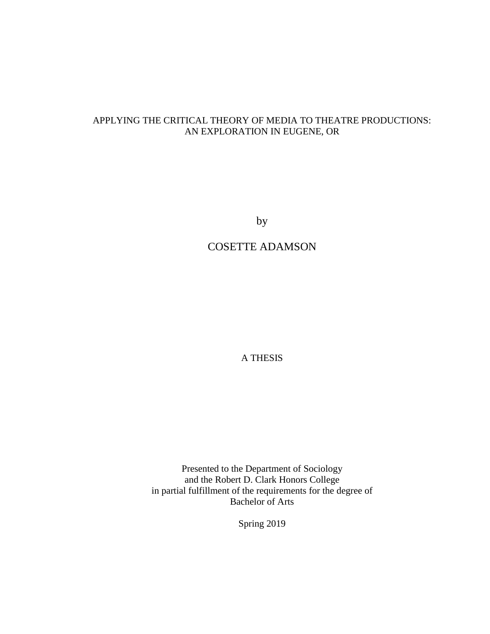# APPLYING THE CRITICAL THEORY OF MEDIA TO THEATRE PRODUCTIONS: AN EXPLORATION IN EUGENE, OR

by

# COSETTE ADAMSON

A THESIS

Presented to the Department of Sociology and the Robert D. Clark Honors College in partial fulfillment of the requirements for the degree of Bachelor of Arts

Spring 2019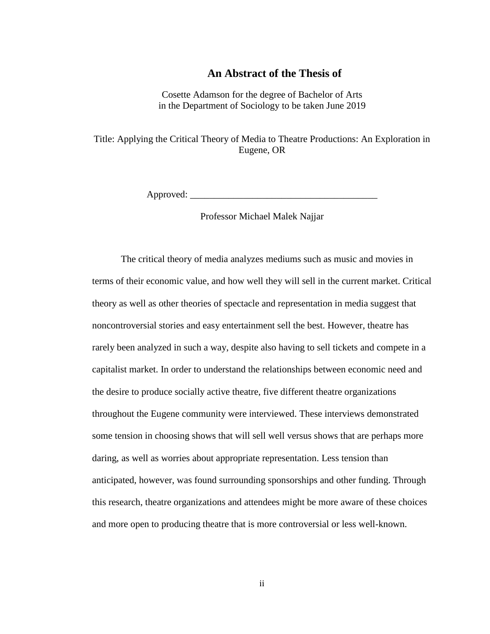## **An Abstract of the Thesis of**

Cosette Adamson for the degree of Bachelor of Arts in the Department of Sociology to be taken June 2019

Title: Applying the Critical Theory of Media to Theatre Productions: An Exploration in Eugene, OR

Approved: \_\_\_\_\_\_\_\_\_\_\_\_\_\_\_\_\_\_\_\_\_\_\_\_\_\_\_\_\_\_\_\_\_\_\_\_\_\_\_

Professor Michael Malek Najjar

The critical theory of media analyzes mediums such as music and movies in terms of their economic value, and how well they will sell in the current market. Critical theory as well as other theories of spectacle and representation in media suggest that noncontroversial stories and easy entertainment sell the best. However, theatre has rarely been analyzed in such a way, despite also having to sell tickets and compete in a capitalist market. In order to understand the relationships between economic need and the desire to produce socially active theatre, five different theatre organizations throughout the Eugene community were interviewed. These interviews demonstrated some tension in choosing shows that will sell well versus shows that are perhaps more daring, as well as worries about appropriate representation. Less tension than anticipated, however, was found surrounding sponsorships and other funding. Through this research, theatre organizations and attendees might be more aware of these choices and more open to producing theatre that is more controversial or less well-known.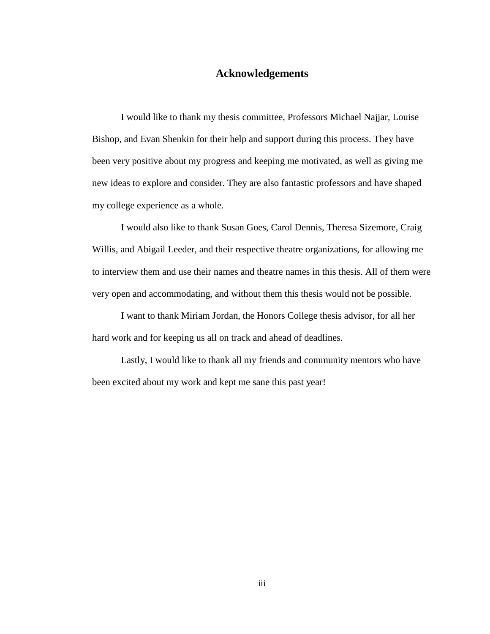# **Acknowledgements**

I would like to thank my thesis committee, Professors Michael Najjar, Louise Bishop, and Evan Shenkin for their help and support during this process. They have been very positive about my progress and keeping me motivated, as well as giving me new ideas to explore and consider. They are also fantastic professors and have shaped my college experience as a whole.

I would also like to thank Susan Goes, Carol Dennis, Theresa Sizemore, Craig Willis, and Abigail Leeder, and their respective theatre organizations, for allowing me to interview them and use their names and theatre names in this thesis. All of them were very open and accommodating, and without them this thesis would not be possible.

I want to thank Miriam Jordan, the Honors College thesis advisor, for all her hard work and for keeping us all on track and ahead of deadlines.

Lastly, I would like to thank all my friends and community mentors who have been excited about my work and kept me sane this past year!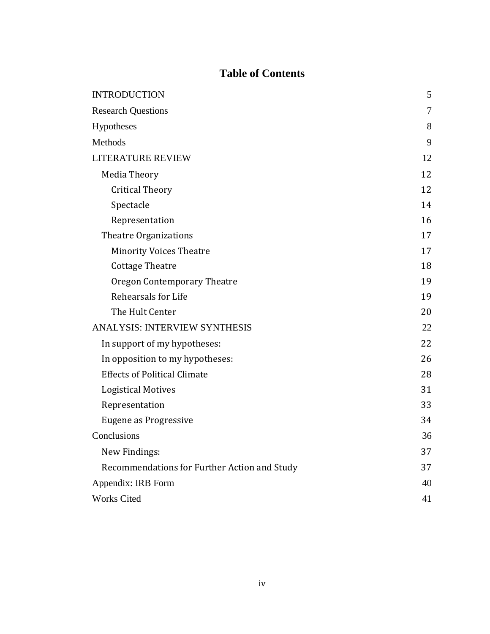# **Table of Contents**

| <b>INTRODUCTION</b>                          | 5  |
|----------------------------------------------|----|
| <b>Research Questions</b>                    | 7  |
| Hypotheses                                   | 8  |
| Methods                                      | 9  |
| LITERATURE REVIEW                            | 12 |
| <b>Media Theory</b>                          | 12 |
| <b>Critical Theory</b>                       | 12 |
| Spectacle                                    | 14 |
| Representation                               | 16 |
| <b>Theatre Organizations</b>                 | 17 |
| <b>Minority Voices Theatre</b>               | 17 |
| <b>Cottage Theatre</b>                       | 18 |
| <b>Oregon Contemporary Theatre</b>           | 19 |
| Rehearsals for Life                          | 19 |
| The Hult Center                              | 20 |
| <b>ANALYSIS: INTERVIEW SYNTHESIS</b>         | 22 |
| In support of my hypotheses:                 | 22 |
| In opposition to my hypotheses:              | 26 |
| <b>Effects of Political Climate</b>          | 28 |
| <b>Logistical Motives</b>                    | 31 |
| Representation                               | 33 |
| Eugene as Progressive                        | 34 |
| Conclusions                                  | 36 |
| New Findings:                                | 37 |
| Recommendations for Further Action and Study | 37 |
| Appendix: IRB Form                           | 40 |
| <b>Works Cited</b>                           | 41 |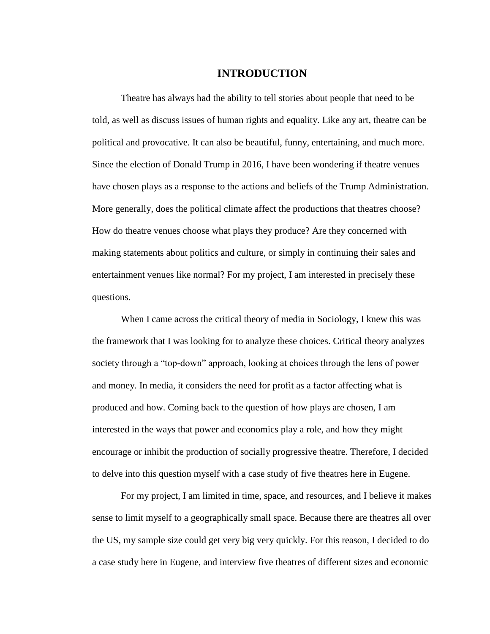#### **INTRODUCTION**

Theatre has always had the ability to tell stories about people that need to be told, as well as discuss issues of human rights and equality. Like any art, theatre can be political and provocative. It can also be beautiful, funny, entertaining, and much more. Since the election of Donald Trump in 2016, I have been wondering if theatre venues have chosen plays as a response to the actions and beliefs of the Trump Administration. More generally, does the political climate affect the productions that theatres choose? How do theatre venues choose what plays they produce? Are they concerned with making statements about politics and culture, or simply in continuing their sales and entertainment venues like normal? For my project, I am interested in precisely these questions.

When I came across the critical theory of media in Sociology, I knew this was the framework that I was looking for to analyze these choices. Critical theory analyzes society through a "top-down" approach, looking at choices through the lens of power and money. In media, it considers the need for profit as a factor affecting what is produced and how. Coming back to the question of how plays are chosen, I am interested in the ways that power and economics play a role, and how they might encourage or inhibit the production of socially progressive theatre. Therefore, I decided to delve into this question myself with a case study of five theatres here in Eugene.

For my project, I am limited in time, space, and resources, and I believe it makes sense to limit myself to a geographically small space. Because there are theatres all over the US, my sample size could get very big very quickly. For this reason, I decided to do a case study here in Eugene, and interview five theatres of different sizes and economic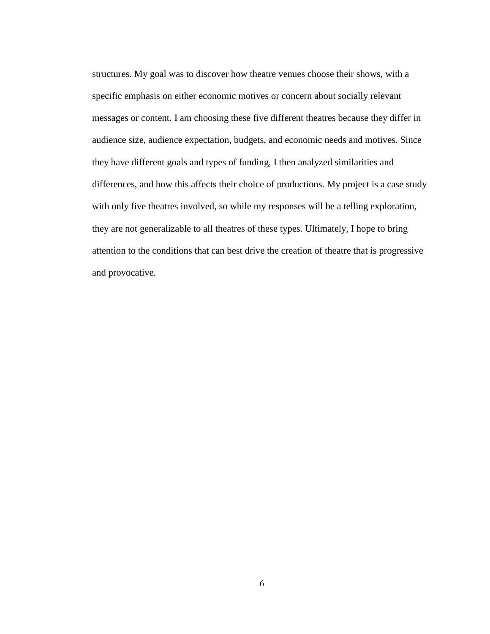structures. My goal was to discover how theatre venues choose their shows, with a specific emphasis on either economic motives or concern about socially relevant messages or content. I am choosing these five different theatres because they differ in audience size, audience expectation, budgets, and economic needs and motives. Since they have different goals and types of funding, I then analyzed similarities and differences, and how this affects their choice of productions. My project is a case study with only five theatres involved, so while my responses will be a telling exploration, they are not generalizable to all theatres of these types. Ultimately, I hope to bring attention to the conditions that can best drive the creation of theatre that is progressive and provocative.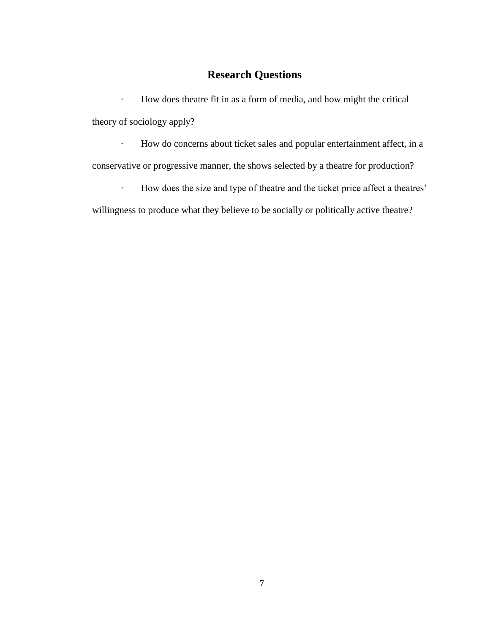# **Research Questions**

· How does theatre fit in as a form of media, and how might the critical theory of sociology apply?

· How do concerns about ticket sales and popular entertainment affect, in a conservative or progressive manner, the shows selected by a theatre for production?

· How does the size and type of theatre and the ticket price affect a theatres'

willingness to produce what they believe to be socially or politically active theatre?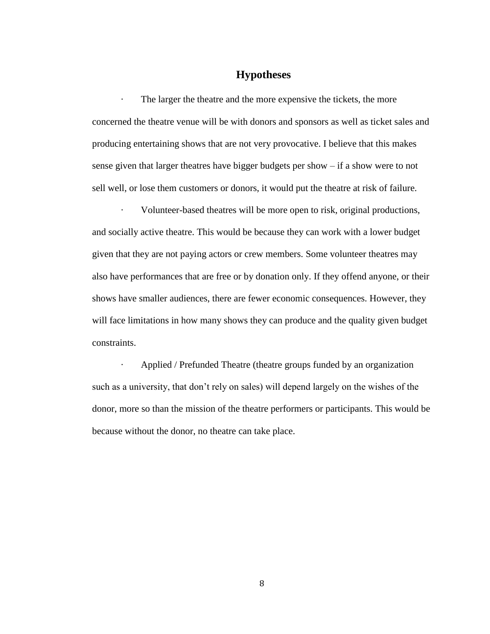# **Hypotheses**

The larger the theatre and the more expensive the tickets, the more concerned the theatre venue will be with donors and sponsors as well as ticket sales and producing entertaining shows that are not very provocative. I believe that this makes sense given that larger theatres have bigger budgets per show – if a show were to not sell well, or lose them customers or donors, it would put the theatre at risk of failure.

Volunteer-based theatres will be more open to risk, original productions, and socially active theatre. This would be because they can work with a lower budget given that they are not paying actors or crew members. Some volunteer theatres may also have performances that are free or by donation only. If they offend anyone, or their shows have smaller audiences, there are fewer economic consequences. However, they will face limitations in how many shows they can produce and the quality given budget constraints.

· Applied / Prefunded Theatre (theatre groups funded by an organization such as a university, that don't rely on sales) will depend largely on the wishes of the donor, more so than the mission of the theatre performers or participants. This would be because without the donor, no theatre can take place.

8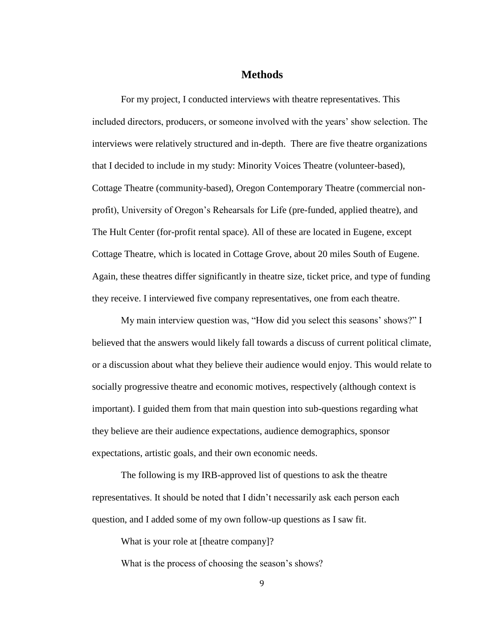### **Methods**

For my project, I conducted interviews with theatre representatives. This included directors, producers, or someone involved with the years' show selection. The interviews were relatively structured and in-depth. There are five theatre organizations that I decided to include in my study: Minority Voices Theatre (volunteer-based), Cottage Theatre (community-based), Oregon Contemporary Theatre (commercial nonprofit), University of Oregon's Rehearsals for Life (pre-funded, applied theatre), and The Hult Center (for-profit rental space). All of these are located in Eugene, except Cottage Theatre, which is located in Cottage Grove, about 20 miles South of Eugene. Again, these theatres differ significantly in theatre size, ticket price, and type of funding they receive. I interviewed five company representatives, one from each theatre.

My main interview question was, "How did you select this seasons' shows?" I believed that the answers would likely fall towards a discuss of current political climate, or a discussion about what they believe their audience would enjoy. This would relate to socially progressive theatre and economic motives, respectively (although context is important). I guided them from that main question into sub-questions regarding what they believe are their audience expectations, audience demographics, sponsor expectations, artistic goals, and their own economic needs.

The following is my IRB-approved list of questions to ask the theatre representatives. It should be noted that I didn't necessarily ask each person each question, and I added some of my own follow-up questions as I saw fit.

What is your role at [theatre company]?

What is the process of choosing the season's shows?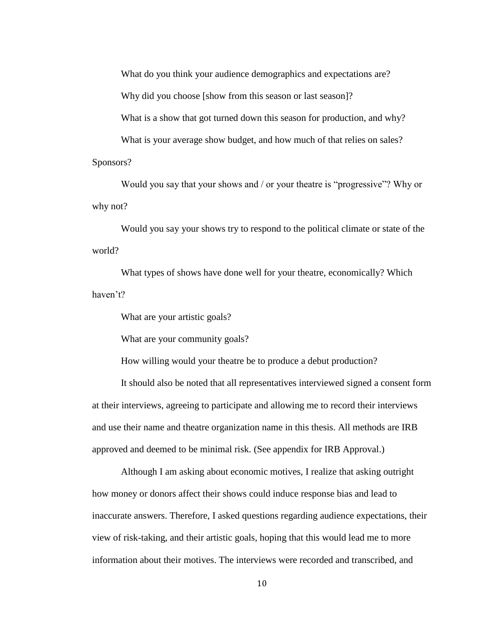What do you think your audience demographics and expectations are?

Why did you choose [show from this season or last season]?

What is a show that got turned down this season for production, and why?

What is your average show budget, and how much of that relies on sales? Sponsors?

Would you say that your shows and / or your theatre is "progressive"? Why or why not?

Would you say your shows try to respond to the political climate or state of the world?

What types of shows have done well for your theatre, economically? Which haven't?

What are your artistic goals?

What are your community goals?

How willing would your theatre be to produce a debut production?

It should also be noted that all representatives interviewed signed a consent form at their interviews, agreeing to participate and allowing me to record their interviews and use their name and theatre organization name in this thesis. All methods are IRB approved and deemed to be minimal risk. (See appendix for IRB Approval.)

Although I am asking about economic motives, I realize that asking outright how money or donors affect their shows could induce response bias and lead to inaccurate answers. Therefore, I asked questions regarding audience expectations, their view of risk-taking, and their artistic goals, hoping that this would lead me to more information about their motives. The interviews were recorded and transcribed, and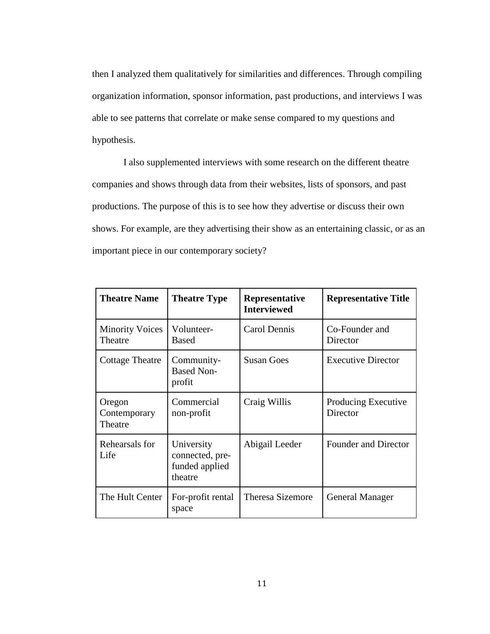then I analyzed them qualitatively for similarities and differences. Through compiling organization information, sponsor information, past productions, and interviews I was able to see patterns that correlate or make sense compared to my questions and hypothesis.

I also supplemented interviews with some research on the different theatre companies and shows through data from their websites, lists of sponsors, and past productions. The purpose of this is to see how they advertise or discuss their own shows. For example, are they advertising their show as an entertaining classic, or as an important piece in our contemporary society?

| <b>Theatre Name</b>               | <b>Theatre Type</b>                                        | Representative<br><b>Interviewed</b> | <b>Representative Title</b>     |
|-----------------------------------|------------------------------------------------------------|--------------------------------------|---------------------------------|
| <b>Minority Voices</b><br>Theatre | Volunteer-<br><b>Based</b>                                 | Carol Dennis                         | Co-Founder and<br>Director      |
| <b>Cottage Theatre</b>            | Community-<br><b>Based Non-</b><br>profit                  | <b>Susan Goes</b>                    | <b>Executive Director</b>       |
| Oregon<br>Contemporary<br>Theatre | Commercial<br>non-profit                                   | Craig Willis                         | Producing Executive<br>Director |
| Rehearsals for<br>Life            | University<br>connected, pre-<br>funded applied<br>theatre | Abigail Leeder                       | Founder and Director            |
| The Hult Center                   | For-profit rental<br>space                                 | <b>Theresa Sizemore</b>              | <b>General Manager</b>          |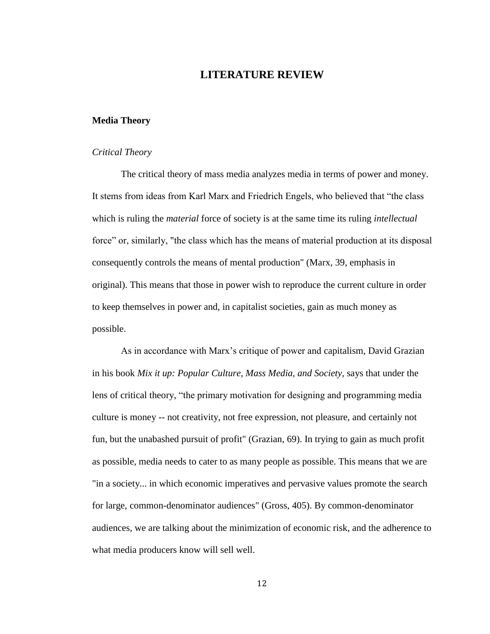### **LITERATURE REVIEW**

#### **Media Theory**

#### *Critical Theory*

The critical theory of mass media analyzes media in terms of power and money. It stems from ideas from Karl Marx and Friedrich Engels, who believed that "the class which is ruling the *material* force of society is at the same time its ruling *intellectual*  force" or, similarly, "the class which has the means of material production at its disposal consequently controls the means of mental production" (Marx, 39, emphasis in original). This means that those in power wish to reproduce the current culture in order to keep themselves in power and, in capitalist societies, gain as much money as possible.

As in accordance with Marx's critique of power and capitalism, David Grazian in his book *Mix it up: Popular Culture, Mass Media, and Society,* says that under the lens of critical theory, "the primary motivation for designing and programming media culture is money -- not creativity, not free expression, not pleasure, and certainly not fun, but the unabashed pursuit of profit" (Grazian, 69). In trying to gain as much profit as possible, media needs to cater to as many people as possible. This means that we are "in a society... in which economic imperatives and pervasive values promote the search for large, common-denominator audiences" (Gross, 405). By common-denominator audiences, we are talking about the minimization of economic risk, and the adherence to what media producers know will sell well.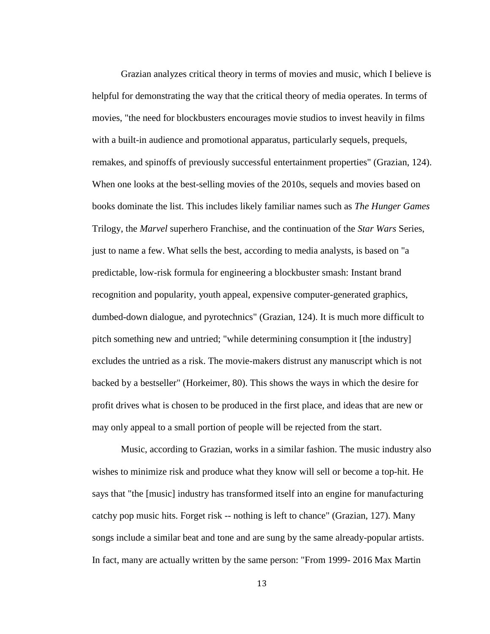Grazian analyzes critical theory in terms of movies and music, which I believe is helpful for demonstrating the way that the critical theory of media operates. In terms of movies, "the need for blockbusters encourages movie studios to invest heavily in films with a built-in audience and promotional apparatus, particularly sequels, prequels, remakes, and spinoffs of previously successful entertainment properties" (Grazian, 124). When one looks at the best-selling movies of the 2010s, sequels and movies based on books dominate the list. This includes likely familiar names such as *The Hunger Games* Trilogy, the *Marvel* superhero Franchise, and the continuation of the *Star Wars* Series, just to name a few. What sells the best, according to media analysts, is based on "a predictable, low-risk formula for engineering a blockbuster smash: Instant brand recognition and popularity, youth appeal, expensive computer-generated graphics, dumbed-down dialogue, and pyrotechnics" (Grazian, 124). It is much more difficult to pitch something new and untried; "while determining consumption it [the industry] excludes the untried as a risk. The movie-makers distrust any manuscript which is not backed by a bestseller" (Horkeimer, 80). This shows the ways in which the desire for profit drives what is chosen to be produced in the first place, and ideas that are new or may only appeal to a small portion of people will be rejected from the start.

Music, according to Grazian, works in a similar fashion. The music industry also wishes to minimize risk and produce what they know will sell or become a top-hit. He says that "the [music] industry has transformed itself into an engine for manufacturing catchy pop music hits. Forget risk -- nothing is left to chance" (Grazian, 127). Many songs include a similar beat and tone and are sung by the same already-popular artists. In fact, many are actually written by the same person: "From 1999- 2016 Max Martin

13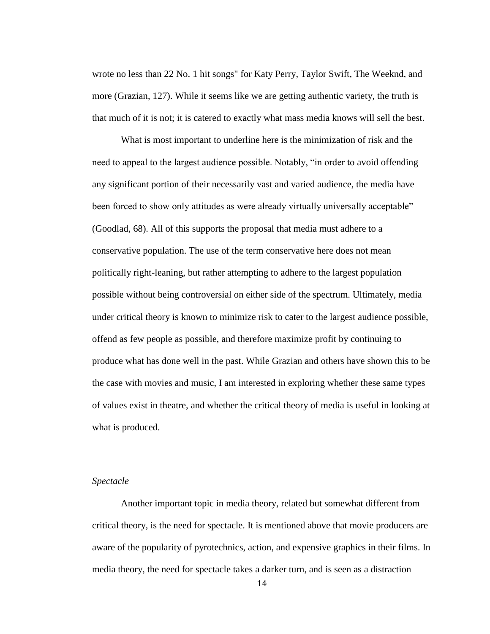wrote no less than 22 No. 1 hit songs" for Katy Perry, Taylor Swift, The Weeknd, and more (Grazian, 127). While it seems like we are getting authentic variety, the truth is that much of it is not; it is catered to exactly what mass media knows will sell the best.

What is most important to underline here is the minimization of risk and the need to appeal to the largest audience possible. Notably, "in order to avoid offending any significant portion of their necessarily vast and varied audience, the media have been forced to show only attitudes as were already virtually universally acceptable" (Goodlad, 68). All of this supports the proposal that media must adhere to a conservative population. The use of the term conservative here does not mean politically right-leaning, but rather attempting to adhere to the largest population possible without being controversial on either side of the spectrum. Ultimately, media under critical theory is known to minimize risk to cater to the largest audience possible, offend as few people as possible, and therefore maximize profit by continuing to produce what has done well in the past. While Grazian and others have shown this to be the case with movies and music, I am interested in exploring whether these same types of values exist in theatre, and whether the critical theory of media is useful in looking at what is produced.

#### *Spectacle*

Another important topic in media theory, related but somewhat different from critical theory, is the need for spectacle. It is mentioned above that movie producers are aware of the popularity of pyrotechnics, action, and expensive graphics in their films. In media theory, the need for spectacle takes a darker turn, and is seen as a distraction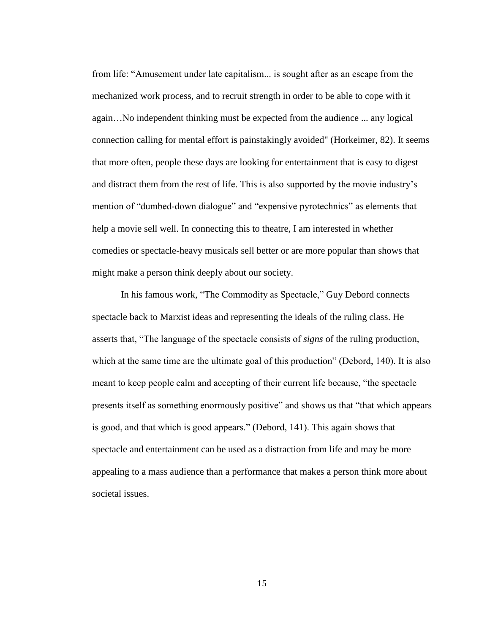from life: "Amusement under late capitalism... is sought after as an escape from the mechanized work process, and to recruit strength in order to be able to cope with it again…No independent thinking must be expected from the audience ... any logical connection calling for mental effort is painstakingly avoided" (Horkeimer, 82). It seems that more often, people these days are looking for entertainment that is easy to digest and distract them from the rest of life. This is also supported by the movie industry's mention of "dumbed-down dialogue" and "expensive pyrotechnics" as elements that help a movie sell well. In connecting this to theatre, I am interested in whether comedies or spectacle-heavy musicals sell better or are more popular than shows that might make a person think deeply about our society.

In his famous work, "The Commodity as Spectacle," Guy Debord connects spectacle back to Marxist ideas and representing the ideals of the ruling class. He asserts that, "The language of the spectacle consists of *signs* of the ruling production, which at the same time are the ultimate goal of this production" (Debord, 140). It is also meant to keep people calm and accepting of their current life because, "the spectacle presents itself as something enormously positive" and shows us that "that which appears is good, and that which is good appears." (Debord, 141). This again shows that spectacle and entertainment can be used as a distraction from life and may be more appealing to a mass audience than a performance that makes a person think more about societal issues.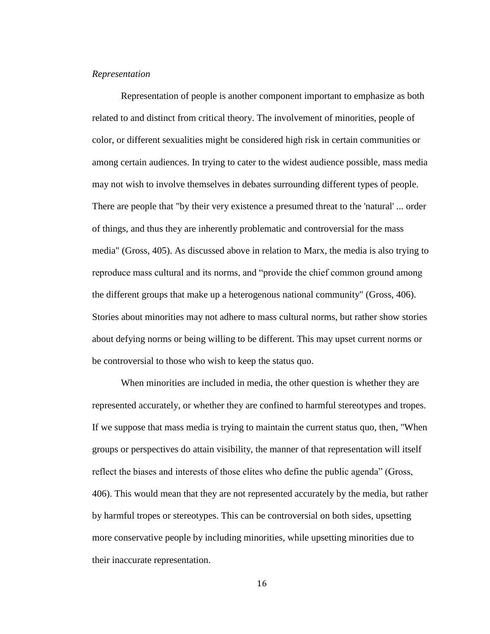#### *Representation*

Representation of people is another component important to emphasize as both related to and distinct from critical theory. The involvement of minorities, people of color, or different sexualities might be considered high risk in certain communities or among certain audiences. In trying to cater to the widest audience possible, mass media may not wish to involve themselves in debates surrounding different types of people. There are people that "by their very existence a presumed threat to the 'natural' ... order of things, and thus they are inherently problematic and controversial for the mass media" (Gross, 405). As discussed above in relation to Marx, the media is also trying to reproduce mass cultural and its norms, and "provide the chief common ground among the different groups that make up a heterogenous national community" (Gross, 406). Stories about minorities may not adhere to mass cultural norms, but rather show stories about defying norms or being willing to be different. This may upset current norms or be controversial to those who wish to keep the status quo.

When minorities are included in media, the other question is whether they are represented accurately, or whether they are confined to harmful stereotypes and tropes. If we suppose that mass media is trying to maintain the current status quo, then, "When groups or perspectives do attain visibility, the manner of that representation will itself reflect the biases and interests of those elites who define the public agenda" (Gross, 406). This would mean that they are not represented accurately by the media, but rather by harmful tropes or stereotypes. This can be controversial on both sides, upsetting more conservative people by including minorities, while upsetting minorities due to their inaccurate representation.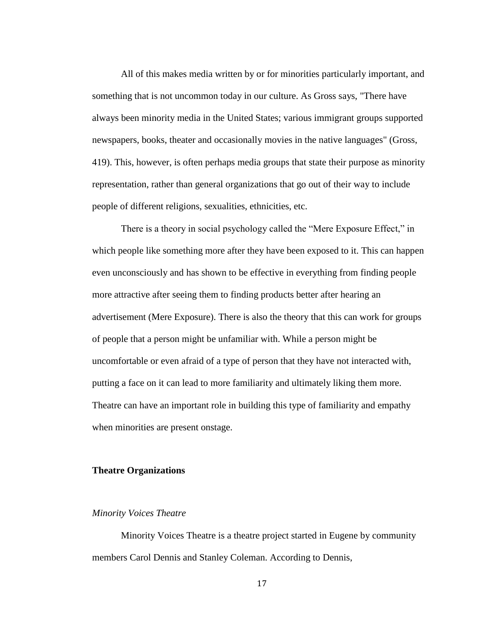All of this makes media written by or for minorities particularly important, and something that is not uncommon today in our culture. As Gross says, "There have always been minority media in the United States; various immigrant groups supported newspapers, books, theater and occasionally movies in the native languages" (Gross, 419). This, however, is often perhaps media groups that state their purpose as minority representation, rather than general organizations that go out of their way to include people of different religions, sexualities, ethnicities, etc.

There is a theory in social psychology called the "Mere Exposure Effect," in which people like something more after they have been exposed to it. This can happen even unconsciously and has shown to be effective in everything from finding people more attractive after seeing them to finding products better after hearing an advertisement (Mere Exposure). There is also the theory that this can work for groups of people that a person might be unfamiliar with. While a person might be uncomfortable or even afraid of a type of person that they have not interacted with, putting a face on it can lead to more familiarity and ultimately liking them more. Theatre can have an important role in building this type of familiarity and empathy when minorities are present onstage.

#### **Theatre Organizations**

#### *Minority Voices Theatre*

Minority Voices Theatre is a theatre project started in Eugene by community members Carol Dennis and Stanley Coleman. According to Dennis,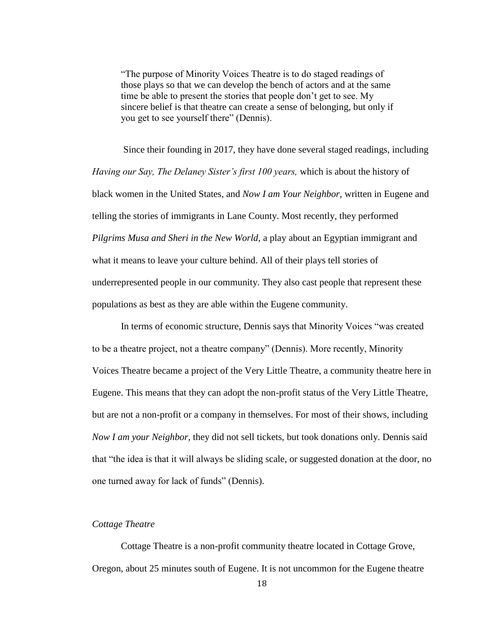"The purpose of Minority Voices Theatre is to do staged readings of those plays so that we can develop the bench of actors and at the same time be able to present the stories that people don't get to see. My sincere belief is that theatre can create a sense of belonging, but only if you get to see yourself there" (Dennis).

Since their founding in 2017, they have done several staged readings, including *Having our Say, The Delaney Sister's first 100 years,* which is about the history of black women in the United States, and *Now I am Your Neighbor,* written in Eugene and telling the stories of immigrants in Lane County. Most recently, they performed *Pilgrims Musa and Sheri in the New World,* a play about an Egyptian immigrant and what it means to leave your culture behind. All of their plays tell stories of underrepresented people in our community. They also cast people that represent these populations as best as they are able within the Eugene community.

In terms of economic structure, Dennis says that Minority Voices "was created to be a theatre project, not a theatre company" (Dennis). More recently, Minority Voices Theatre became a project of the Very Little Theatre, a community theatre here in Eugene. This means that they can adopt the non-profit status of the Very Little Theatre, but are not a non-profit or a company in themselves. For most of their shows, including *Now I am your Neighbor,* they did not sell tickets, but took donations only. Dennis said that "the idea is that it will always be sliding scale, or suggested donation at the door, no one turned away for lack of funds" (Dennis).

#### *Cottage Theatre*

Cottage Theatre is a non-profit community theatre located in Cottage Grove, Oregon, about 25 minutes south of Eugene. It is not uncommon for the Eugene theatre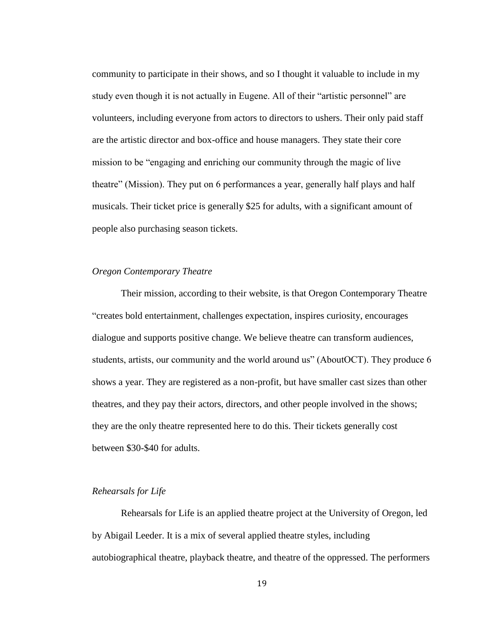community to participate in their shows, and so I thought it valuable to include in my study even though it is not actually in Eugene. All of their "artistic personnel" are volunteers, including everyone from actors to directors to ushers. Their only paid staff are the artistic director and box-office and house managers. They state their core mission to be "engaging and enriching our community through the magic of live theatre" (Mission). They put on 6 performances a year, generally half plays and half musicals. Their ticket price is generally \$25 for adults, with a significant amount of people also purchasing season tickets.

#### *Oregon Contemporary Theatre*

Their mission, according to their website, is that Oregon Contemporary Theatre "creates bold entertainment, challenges expectation, inspires curiosity, encourages dialogue and supports positive change. We believe theatre can transform audiences, students, artists, our community and the world around us" (AboutOCT). They produce 6 shows a year. They are registered as a non-profit, but have smaller cast sizes than other theatres, and they pay their actors, directors, and other people involved in the shows; they are the only theatre represented here to do this. Their tickets generally cost between \$30-\$40 for adults.

#### *Rehearsals for Life*

Rehearsals for Life is an applied theatre project at the University of Oregon, led by Abigail Leeder. It is a mix of several applied theatre styles, including autobiographical theatre, playback theatre, and theatre of the oppressed. The performers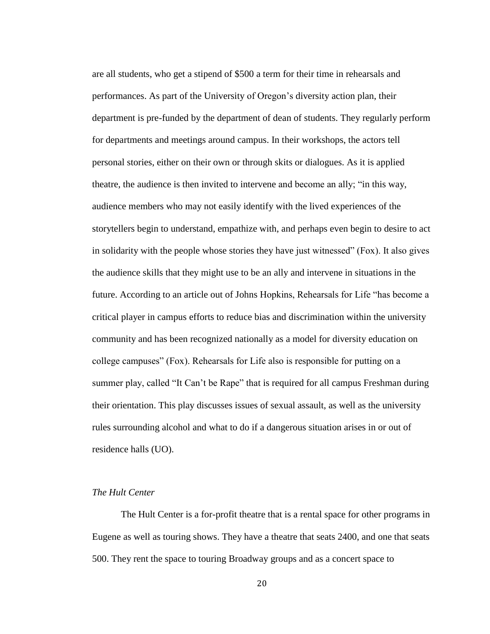are all students, who get a stipend of \$500 a term for their time in rehearsals and performances. As part of the University of Oregon's diversity action plan, their department is pre-funded by the department of dean of students. They regularly perform for departments and meetings around campus. In their workshops, the actors tell personal stories, either on their own or through skits or dialogues. As it is applied theatre, the audience is then invited to intervene and become an ally; "in this way, audience members who may not easily identify with the lived experiences of the storytellers begin to understand, empathize with, and perhaps even begin to desire to act in solidarity with the people whose stories they have just witnessed" (Fox). It also gives the audience skills that they might use to be an ally and intervene in situations in the future. According to an article out of Johns Hopkins, Rehearsals for Life "has become a critical player in campus efforts to reduce bias and discrimination within the university community and has been recognized nationally as a model for diversity education on college campuses" (Fox). Rehearsals for Life also is responsible for putting on a summer play, called "It Can't be Rape" that is required for all campus Freshman during their orientation. This play discusses issues of sexual assault, as well as the university rules surrounding alcohol and what to do if a dangerous situation arises in or out of residence halls (UO).

#### *The Hult Center*

The Hult Center is a for-profit theatre that is a rental space for other programs in Eugene as well as touring shows. They have a theatre that seats 2400, and one that seats 500. They rent the space to touring Broadway groups and as a concert space to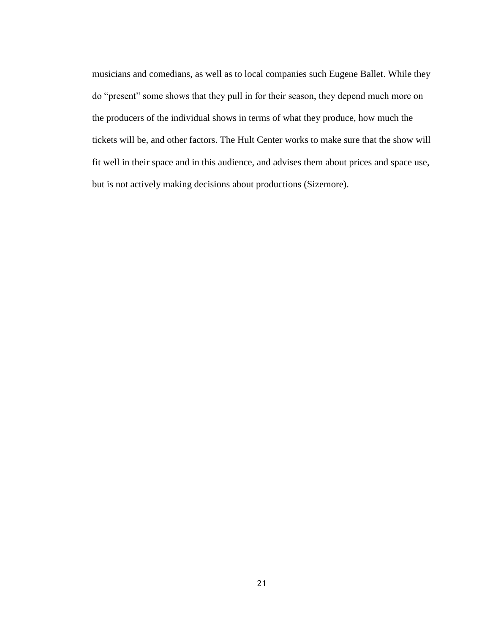musicians and comedians, as well as to local companies such Eugene Ballet. While they do "present" some shows that they pull in for their season, they depend much more on the producers of the individual shows in terms of what they produce, how much the tickets will be, and other factors. The Hult Center works to make sure that the show will fit well in their space and in this audience, and advises them about prices and space use, but is not actively making decisions about productions (Sizemore).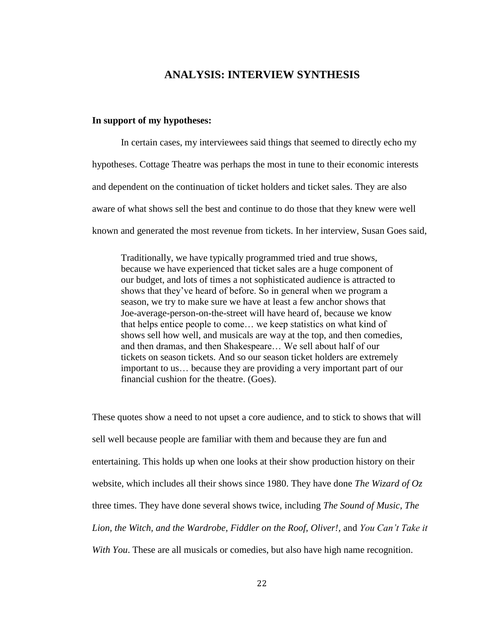### **ANALYSIS: INTERVIEW SYNTHESIS**

#### **In support of my hypotheses:**

In certain cases, my interviewees said things that seemed to directly echo my hypotheses. Cottage Theatre was perhaps the most in tune to their economic interests and dependent on the continuation of ticket holders and ticket sales. They are also aware of what shows sell the best and continue to do those that they knew were well known and generated the most revenue from tickets. In her interview, Susan Goes said,

Traditionally, we have typically programmed tried and true shows, because we have experienced that ticket sales are a huge component of our budget, and lots of times a not sophisticated audience is attracted to shows that they've heard of before. So in general when we program a season, we try to make sure we have at least a few anchor shows that Joe-average-person-on-the-street will have heard of, because we know that helps entice people to come… we keep statistics on what kind of shows sell how well, and musicals are way at the top, and then comedies, and then dramas, and then Shakespeare… We sell about half of our tickets on season tickets. And so our season ticket holders are extremely important to us… because they are providing a very important part of our financial cushion for the theatre. (Goes).

These quotes show a need to not upset a core audience, and to stick to shows that will sell well because people are familiar with them and because they are fun and entertaining. This holds up when one looks at their show production history on their website, which includes all their shows since 1980. They have done *The Wizard of Oz* three times. They have done several shows twice, including *The Sound of Music, The Lion, the Witch, and the Wardrobe, Fiddler on the Roof, Oliver!,* and *You Can't Take it With You*. These are all musicals or comedies, but also have high name recognition.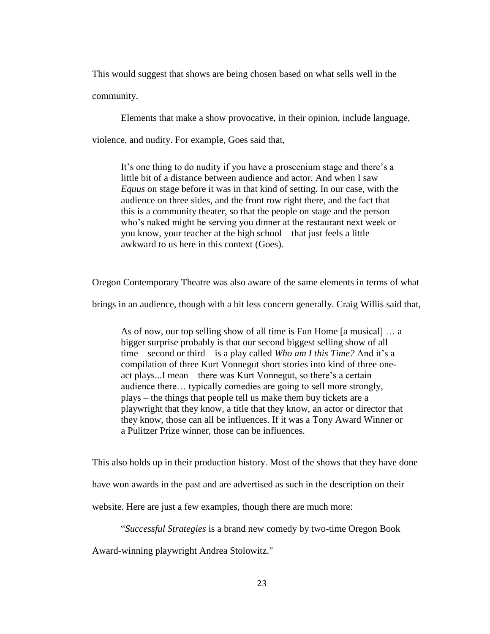This would suggest that shows are being chosen based on what sells well in the community.

Elements that make a show provocative, in their opinion, include language,

violence, and nudity. For example, Goes said that,

It's one thing to do nudity if you have a proscenium stage and there's a little bit of a distance between audience and actor. And when I saw *Equus* on stage before it was in that kind of setting. In our case, with the audience on three sides, and the front row right there, and the fact that this is a community theater, so that the people on stage and the person who's naked might be serving you dinner at the restaurant next week or you know, your teacher at the high school – that just feels a little awkward to us here in this context (Goes).

Oregon Contemporary Theatre was also aware of the same elements in terms of what

brings in an audience, though with a bit less concern generally. Craig Willis said that,

As of now, our top selling show of all time is Fun Home [a musical] … a bigger surprise probably is that our second biggest selling show of all time – second or third – is a play called *Who am I this Time?* And it's a compilation of three Kurt Vonnegut short stories into kind of three oneact plays...I mean – there was Kurt Vonnegut, so there's a certain audience there… typically comedies are going to sell more strongly, plays – the things that people tell us make them buy tickets are a playwright that they know, a title that they know, an actor or director that they know, those can all be influences. If it was a Tony Award Winner or a Pulitzer Prize winner, those can be influences.

This also holds up in their production history. Most of the shows that they have done have won awards in the past and are advertised as such in the description on their website. Here are just a few examples, though there are much more:

"*Successful Strategies* is a brand new comedy by two-time Oregon Book

Award-winning playwright Andrea Stolowitz."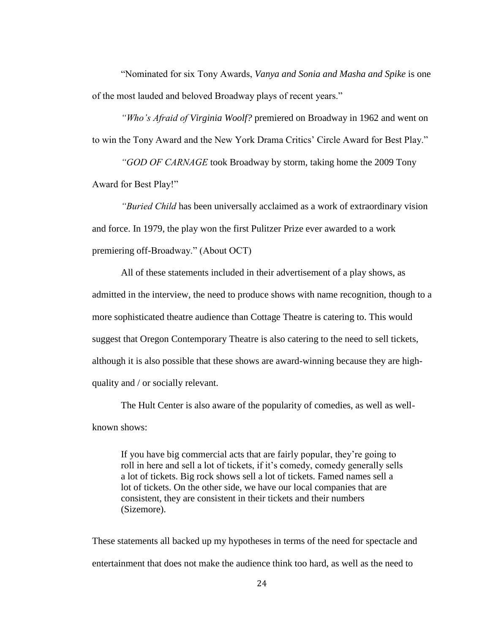"Nominated for six Tony Awards, *Vanya and Sonia and Masha and Spike* is one of the most lauded and beloved Broadway plays of recent years."

*"Who's Afraid of Virginia Woolf?* premiered on Broadway in 1962 and went on to win the Tony Award and the New York Drama Critics' Circle Award for Best Play."

*"GOD OF CARNAGE* took Broadway by storm, taking home the 2009 Tony Award for Best Play!"

*"Buried Child* has been universally acclaimed as a work of extraordinary vision and force. In 1979, the play won the first Pulitzer Prize ever awarded to a work premiering off-Broadway." (About OCT)

All of these statements included in their advertisement of a play shows, as admitted in the interview, the need to produce shows with name recognition, though to a more sophisticated theatre audience than Cottage Theatre is catering to. This would suggest that Oregon Contemporary Theatre is also catering to the need to sell tickets, although it is also possible that these shows are award-winning because they are highquality and / or socially relevant.

The Hult Center is also aware of the popularity of comedies, as well as wellknown shows:

If you have big commercial acts that are fairly popular, they're going to roll in here and sell a lot of tickets, if it's comedy, comedy generally sells a lot of tickets. Big rock shows sell a lot of tickets. Famed names sell a lot of tickets. On the other side, we have our local companies that are consistent, they are consistent in their tickets and their numbers (Sizemore).

These statements all backed up my hypotheses in terms of the need for spectacle and entertainment that does not make the audience think too hard, as well as the need to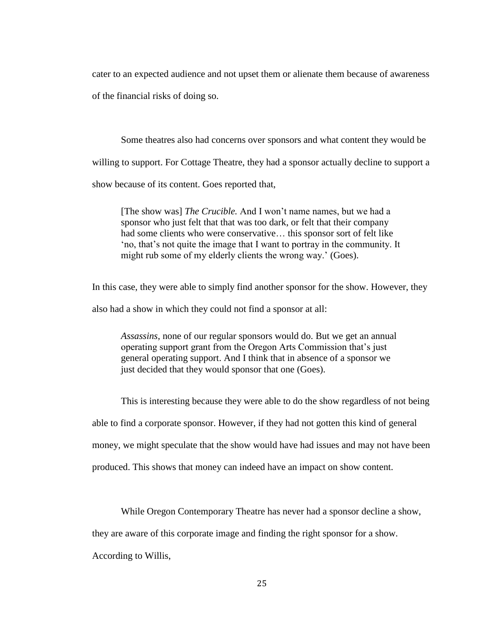cater to an expected audience and not upset them or alienate them because of awareness of the financial risks of doing so.

Some theatres also had concerns over sponsors and what content they would be willing to support. For Cottage Theatre, they had a sponsor actually decline to support a show because of its content. Goes reported that,

[The show was] *The Crucible.* And I won't name names, but we had a sponsor who just felt that that was too dark, or felt that their company had some clients who were conservative… this sponsor sort of felt like 'no, that's not quite the image that I want to portray in the community. It might rub some of my elderly clients the wrong way.' (Goes).

In this case, they were able to simply find another sponsor for the show. However, they also had a show in which they could not find a sponsor at all:

*Assassins*, none of our regular sponsors would do. But we get an annual operating support grant from the Oregon Arts Commission that's just general operating support. And I think that in absence of a sponsor we just decided that they would sponsor that one (Goes).

This is interesting because they were able to do the show regardless of not being able to find a corporate sponsor. However, if they had not gotten this kind of general money, we might speculate that the show would have had issues and may not have been produced. This shows that money can indeed have an impact on show content.

While Oregon Contemporary Theatre has never had a sponsor decline a show,

they are aware of this corporate image and finding the right sponsor for a show.

According to Willis,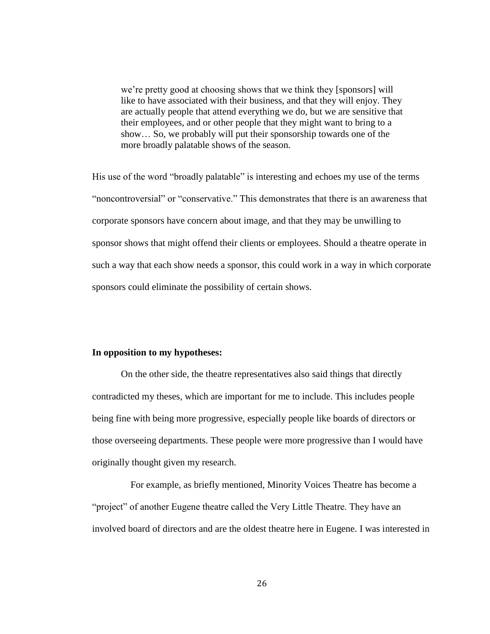we're pretty good at choosing shows that we think they [sponsors] will like to have associated with their business, and that they will enjoy. They are actually people that attend everything we do, but we are sensitive that their employees, and or other people that they might want to bring to a show… So, we probably will put their sponsorship towards one of the more broadly palatable shows of the season.

His use of the word "broadly palatable" is interesting and echoes my use of the terms "noncontroversial" or "conservative." This demonstrates that there is an awareness that corporate sponsors have concern about image, and that they may be unwilling to sponsor shows that might offend their clients or employees. Should a theatre operate in such a way that each show needs a sponsor, this could work in a way in which corporate sponsors could eliminate the possibility of certain shows.

#### **In opposition to my hypotheses:**

On the other side, the theatre representatives also said things that directly contradicted my theses, which are important for me to include. This includes people being fine with being more progressive, especially people like boards of directors or those overseeing departments. These people were more progressive than I would have originally thought given my research.

 For example, as briefly mentioned, Minority Voices Theatre has become a "project" of another Eugene theatre called the Very Little Theatre. They have an involved board of directors and are the oldest theatre here in Eugene. I was interested in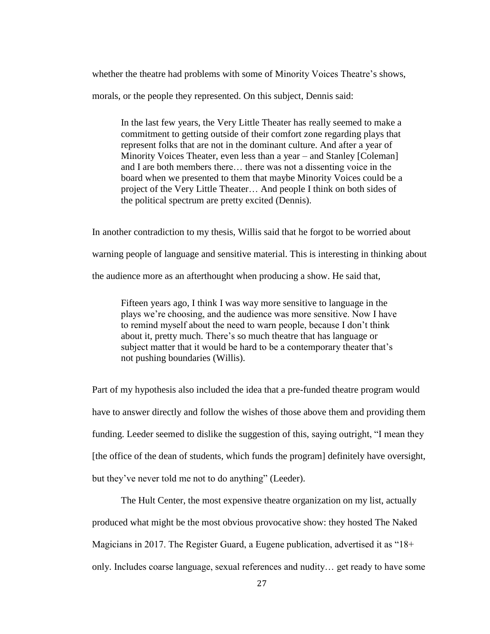whether the theatre had problems with some of Minority Voices Theatre's shows,

morals, or the people they represented. On this subject, Dennis said:

In the last few years, the Very Little Theater has really seemed to make a commitment to getting outside of their comfort zone regarding plays that represent folks that are not in the dominant culture. And after a year of Minority Voices Theater, even less than a year – and Stanley [Coleman] and I are both members there… there was not a dissenting voice in the board when we presented to them that maybe Minority Voices could be a project of the Very Little Theater… And people I think on both sides of the political spectrum are pretty excited (Dennis).

In another contradiction to my thesis, Willis said that he forgot to be worried about warning people of language and sensitive material. This is interesting in thinking about the audience more as an afterthought when producing a show. He said that,

Fifteen years ago, I think I was way more sensitive to language in the plays we're choosing, and the audience was more sensitive. Now I have to remind myself about the need to warn people, because I don't think about it, pretty much. There's so much theatre that has language or subject matter that it would be hard to be a contemporary theater that's not pushing boundaries (Willis).

Part of my hypothesis also included the idea that a pre-funded theatre program would have to answer directly and follow the wishes of those above them and providing them funding. Leeder seemed to dislike the suggestion of this, saying outright, "I mean they [the office of the dean of students, which funds the program] definitely have oversight, but they've never told me not to do anything" (Leeder).

The Hult Center, the most expensive theatre organization on my list, actually produced what might be the most obvious provocative show: they hosted The Naked Magicians in 2017. The Register Guard, a Eugene publication, advertised it as "18+ only. Includes coarse language, sexual references and nudity… get ready to have some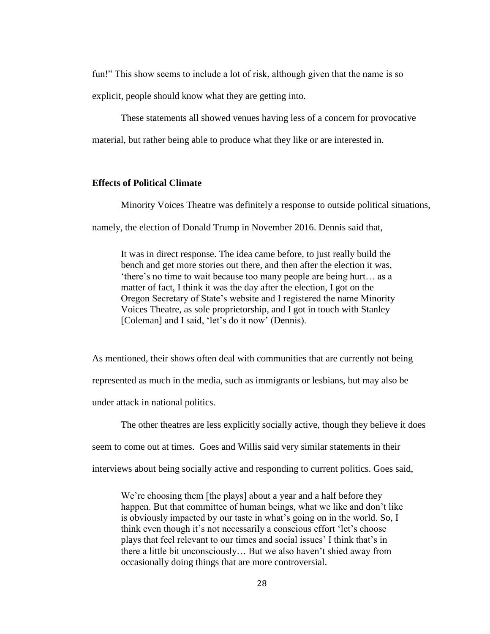fun!" This show seems to include a lot of risk, although given that the name is so

explicit, people should know what they are getting into.

These statements all showed venues having less of a concern for provocative

material, but rather being able to produce what they like or are interested in.

#### **Effects of Political Climate**

Minority Voices Theatre was definitely a response to outside political situations,

namely, the election of Donald Trump in November 2016. Dennis said that,

It was in direct response. The idea came before, to just really build the bench and get more stories out there, and then after the election it was, 'there's no time to wait because too many people are being hurt… as a matter of fact, I think it was the day after the election, I got on the Oregon Secretary of State's website and I registered the name Minority Voices Theatre, as sole proprietorship, and I got in touch with Stanley [Coleman] and I said, 'let's do it now' (Dennis).

As mentioned, their shows often deal with communities that are currently not being represented as much in the media, such as immigrants or lesbians, but may also be under attack in national politics.

The other theatres are less explicitly socially active, though they believe it does seem to come out at times. Goes and Willis said very similar statements in their interviews about being socially active and responding to current politics. Goes said,

We're choosing them [the plays] about a year and a half before they happen. But that committee of human beings, what we like and don't like is obviously impacted by our taste in what's going on in the world. So, I think even though it's not necessarily a conscious effort 'let's choose plays that feel relevant to our times and social issues' I think that's in there a little bit unconsciously… But we also haven't shied away from occasionally doing things that are more controversial.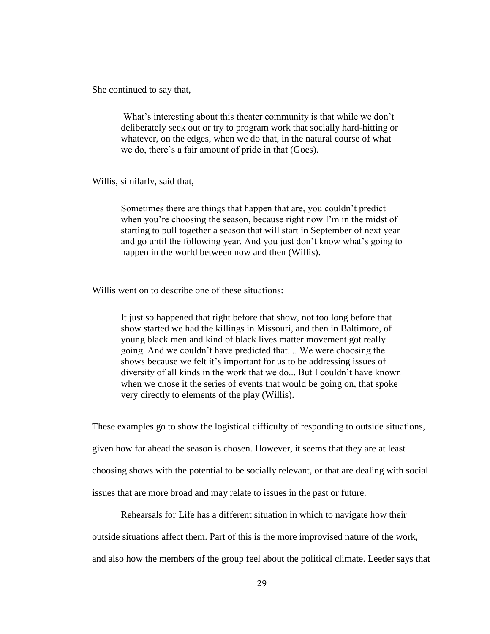She continued to say that,

What's interesting about this theater community is that while we don't deliberately seek out or try to program work that socially hard-hitting or whatever, on the edges, when we do that, in the natural course of what we do, there's a fair amount of pride in that (Goes).

Willis, similarly, said that,

Sometimes there are things that happen that are, you couldn't predict when you're choosing the season, because right now I'm in the midst of starting to pull together a season that will start in September of next year and go until the following year. And you just don't know what's going to happen in the world between now and then (Willis).

Willis went on to describe one of these situations:

It just so happened that right before that show, not too long before that show started we had the killings in Missouri, and then in Baltimore, of young black men and kind of black lives matter movement got really going. And we couldn't have predicted that.... We were choosing the shows because we felt it's important for us to be addressing issues of diversity of all kinds in the work that we do... But I couldn't have known when we chose it the series of events that would be going on, that spoke very directly to elements of the play (Willis).

These examples go to show the logistical difficulty of responding to outside situations, given how far ahead the season is chosen. However, it seems that they are at least choosing shows with the potential to be socially relevant, or that are dealing with social issues that are more broad and may relate to issues in the past or future.

Rehearsals for Life has a different situation in which to navigate how their outside situations affect them. Part of this is the more improvised nature of the work, and also how the members of the group feel about the political climate. Leeder says that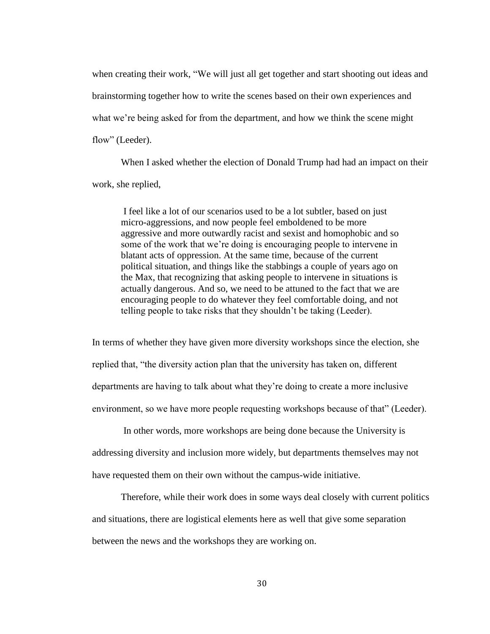when creating their work, "We will just all get together and start shooting out ideas and brainstorming together how to write the scenes based on their own experiences and what we're being asked for from the department, and how we think the scene might flow" (Leeder).

When I asked whether the election of Donald Trump had had an impact on their work, she replied,

I feel like a lot of our scenarios used to be a lot subtler, based on just micro-aggressions, and now people feel emboldened to be more aggressive and more outwardly racist and sexist and homophobic and so some of the work that we're doing is encouraging people to intervene in blatant acts of oppression. At the same time, because of the current political situation, and things like the stabbings a couple of years ago on the Max, that recognizing that asking people to intervene in situations is actually dangerous. And so, we need to be attuned to the fact that we are encouraging people to do whatever they feel comfortable doing, and not telling people to take risks that they shouldn't be taking (Leeder).

In terms of whether they have given more diversity workshops since the election, she replied that, "the diversity action plan that the university has taken on, different departments are having to talk about what they're doing to create a more inclusive environment, so we have more people requesting workshops because of that" (Leeder).

In other words, more workshops are being done because the University is addressing diversity and inclusion more widely, but departments themselves may not have requested them on their own without the campus-wide initiative.

Therefore, while their work does in some ways deal closely with current politics and situations, there are logistical elements here as well that give some separation between the news and the workshops they are working on.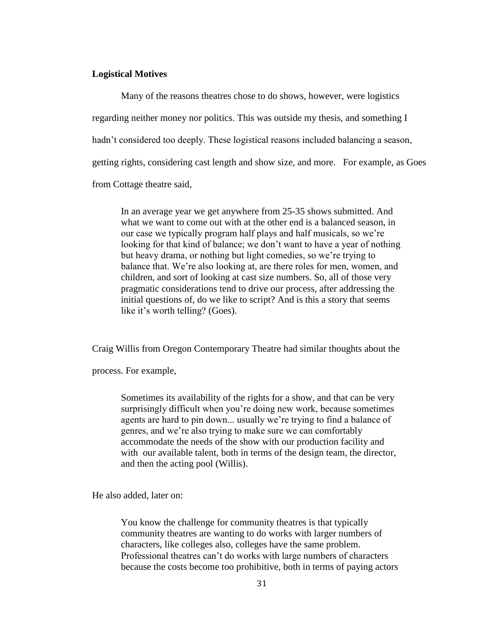#### **Logistical Motives**

Many of the reasons theatres chose to do shows, however, were logistics regarding neither money nor politics. This was outside my thesis, and something I hadn't considered too deeply. These logistical reasons included balancing a season, getting rights, considering cast length and show size, and more. For example, as Goes from Cottage theatre said,

In an average year we get anywhere from 25-35 shows submitted. And what we want to come out with at the other end is a balanced season, in our case we typically program half plays and half musicals, so we're looking for that kind of balance; we don't want to have a year of nothing but heavy drama, or nothing but light comedies, so we're trying to balance that. We're also looking at, are there roles for men, women, and children, and sort of looking at cast size numbers. So, all of those very pragmatic considerations tend to drive our process, after addressing the initial questions of, do we like to script? And is this a story that seems like it's worth telling? (Goes).

Craig Willis from Oregon Contemporary Theatre had similar thoughts about the

process. For example,

Sometimes its availability of the rights for a show, and that can be very surprisingly difficult when you're doing new work, because sometimes agents are hard to pin down... usually we're trying to find a balance of genres, and we're also trying to make sure we can comfortably accommodate the needs of the show with our production facility and with our available talent, both in terms of the design team, the director, and then the acting pool (Willis).

He also added, later on:

You know the challenge for community theatres is that typically community theatres are wanting to do works with larger numbers of characters, like colleges also, colleges have the same problem. Professional theatres can't do works with large numbers of characters because the costs become too prohibitive, both in terms of paying actors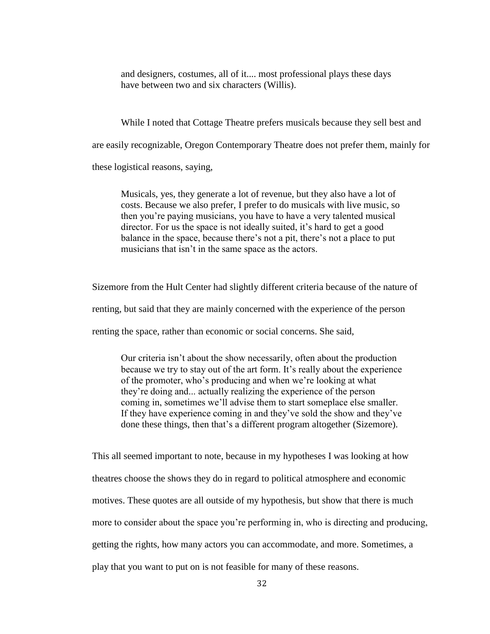and designers, costumes, all of it.... most professional plays these days have between two and six characters (Willis).

While I noted that Cottage Theatre prefers musicals because they sell best and are easily recognizable, Oregon Contemporary Theatre does not prefer them, mainly for these logistical reasons, saying,

Musicals, yes, they generate a lot of revenue, but they also have a lot of costs. Because we also prefer, I prefer to do musicals with live music, so then you're paying musicians, you have to have a very talented musical director. For us the space is not ideally suited, it's hard to get a good balance in the space, because there's not a pit, there's not a place to put musicians that isn't in the same space as the actors.

Sizemore from the Hult Center had slightly different criteria because of the nature of renting, but said that they are mainly concerned with the experience of the person renting the space, rather than economic or social concerns. She said,

Our criteria isn't about the show necessarily, often about the production because we try to stay out of the art form. It's really about the experience of the promoter, who's producing and when we're looking at what they're doing and... actually realizing the experience of the person coming in, sometimes we'll advise them to start someplace else smaller. If they have experience coming in and they've sold the show and they've done these things, then that's a different program altogether (Sizemore).

This all seemed important to note, because in my hypotheses I was looking at how theatres choose the shows they do in regard to political atmosphere and economic motives. These quotes are all outside of my hypothesis, but show that there is much more to consider about the space you're performing in, who is directing and producing, getting the rights, how many actors you can accommodate, and more. Sometimes, a play that you want to put on is not feasible for many of these reasons.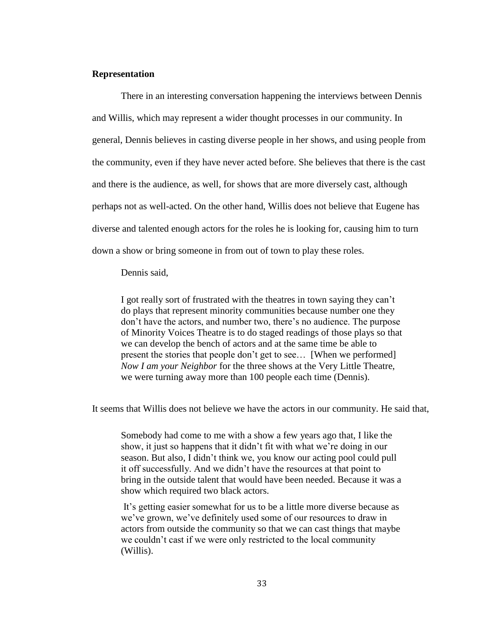#### **Representation**

There in an interesting conversation happening the interviews between Dennis and Willis, which may represent a wider thought processes in our community. In general, Dennis believes in casting diverse people in her shows, and using people from the community, even if they have never acted before. She believes that there is the cast and there is the audience, as well, for shows that are more diversely cast, although perhaps not as well-acted. On the other hand, Willis does not believe that Eugene has diverse and talented enough actors for the roles he is looking for, causing him to turn down a show or bring someone in from out of town to play these roles.

Dennis said,

I got really sort of frustrated with the theatres in town saying they can't do plays that represent minority communities because number one they don't have the actors, and number two, there's no audience. The purpose of Minority Voices Theatre is to do staged readings of those plays so that we can develop the bench of actors and at the same time be able to present the stories that people don't get to see… [When we performed] *Now I am your Neighbor* for the three shows at the Very Little Theatre, we were turning away more than 100 people each time (Dennis).

It seems that Willis does not believe we have the actors in our community. He said that,

Somebody had come to me with a show a few years ago that, I like the show, it just so happens that it didn't fit with what we're doing in our season. But also, I didn't think we, you know our acting pool could pull it off successfully. And we didn't have the resources at that point to bring in the outside talent that would have been needed. Because it was a show which required two black actors.

It's getting easier somewhat for us to be a little more diverse because as we've grown, we've definitely used some of our resources to draw in actors from outside the community so that we can cast things that maybe we couldn't cast if we were only restricted to the local community (Willis).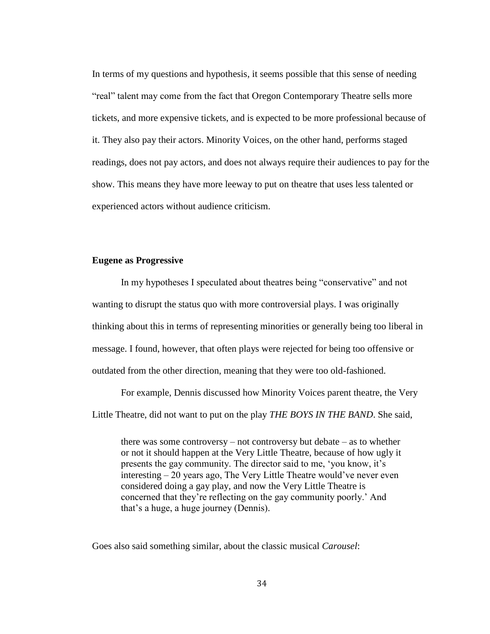In terms of my questions and hypothesis, it seems possible that this sense of needing "real" talent may come from the fact that Oregon Contemporary Theatre sells more tickets, and more expensive tickets, and is expected to be more professional because of it. They also pay their actors. Minority Voices, on the other hand, performs staged readings, does not pay actors, and does not always require their audiences to pay for the show. This means they have more leeway to put on theatre that uses less talented or experienced actors without audience criticism.

#### **Eugene as Progressive**

In my hypotheses I speculated about theatres being "conservative" and not wanting to disrupt the status quo with more controversial plays. I was originally thinking about this in terms of representing minorities or generally being too liberal in message. I found, however, that often plays were rejected for being too offensive or outdated from the other direction, meaning that they were too old-fashioned.

For example, Dennis discussed how Minority Voices parent theatre, the Very Little Theatre, did not want to put on the play *THE BOYS IN THE BAND*. She said,

there was some controversy – not controversy but debate – as to whether or not it should happen at the Very Little Theatre, because of how ugly it presents the gay community. The director said to me, 'you know, it's interesting – 20 years ago, The Very Little Theatre would've never even considered doing a gay play, and now the Very Little Theatre is concerned that they're reflecting on the gay community poorly.' And that's a huge, a huge journey (Dennis).

Goes also said something similar, about the classic musical *Carousel*: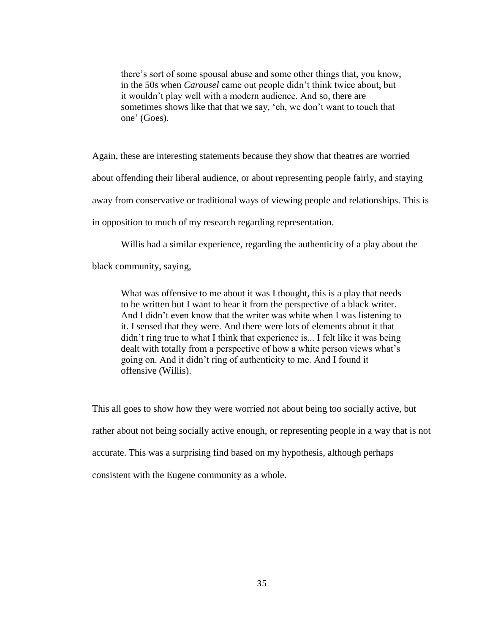there's sort of some spousal abuse and some other things that, you know, in the 50s when *Carousel* came out people didn't think twice about, but it wouldn't play well with a modern audience. And so, there are sometimes shows like that that we say, 'eh, we don't want to touch that one' (Goes).

Again, these are interesting statements because they show that theatres are worried about offending their liberal audience, or about representing people fairly, and staying away from conservative or traditional ways of viewing people and relationships. This is in opposition to much of my research regarding representation.

Willis had a similar experience, regarding the authenticity of a play about the

black community, saying,

What was offensive to me about it was I thought, this is a play that needs to be written but I want to hear it from the perspective of a black writer. And I didn't even know that the writer was white when I was listening to it. I sensed that they were. And there were lots of elements about it that didn't ring true to what I think that experience is... I felt like it was being dealt with totally from a perspective of how a white person views what's going on. And it didn't ring of authenticity to me. And I found it offensive (Willis).

This all goes to show how they were worried not about being too socially active, but rather about not being socially active enough, or representing people in a way that is not accurate. This was a surprising find based on my hypothesis, although perhaps consistent with the Eugene community as a whole.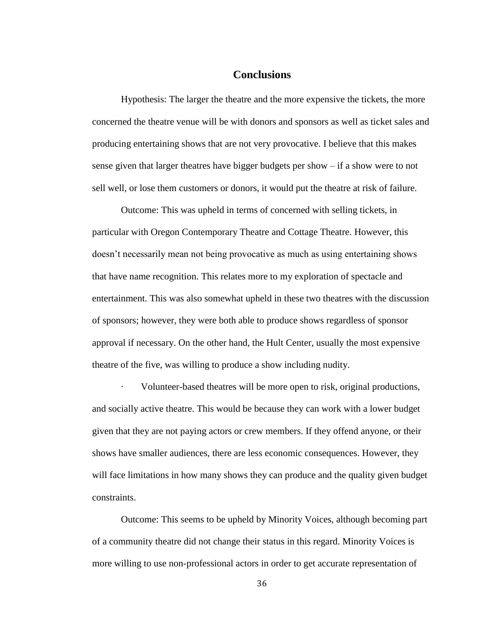### **Conclusions**

Hypothesis: The larger the theatre and the more expensive the tickets, the more concerned the theatre venue will be with donors and sponsors as well as ticket sales and producing entertaining shows that are not very provocative. I believe that this makes sense given that larger theatres have bigger budgets per show – if a show were to not sell well, or lose them customers or donors, it would put the theatre at risk of failure.

Outcome: This was upheld in terms of concerned with selling tickets, in particular with Oregon Contemporary Theatre and Cottage Theatre. However, this doesn't necessarily mean not being provocative as much as using entertaining shows that have name recognition. This relates more to my exploration of spectacle and entertainment. This was also somewhat upheld in these two theatres with the discussion of sponsors; however, they were both able to produce shows regardless of sponsor approval if necessary. On the other hand, the Hult Center, usually the most expensive theatre of the five, was willing to produce a show including nudity.

Volunteer-based theatres will be more open to risk, original productions, and socially active theatre. This would be because they can work with a lower budget given that they are not paying actors or crew members. If they offend anyone, or their shows have smaller audiences, there are less economic consequences. However, they will face limitations in how many shows they can produce and the quality given budget constraints.

Outcome: This seems to be upheld by Minority Voices, although becoming part of a community theatre did not change their status in this regard. Minority Voices is more willing to use non-professional actors in order to get accurate representation of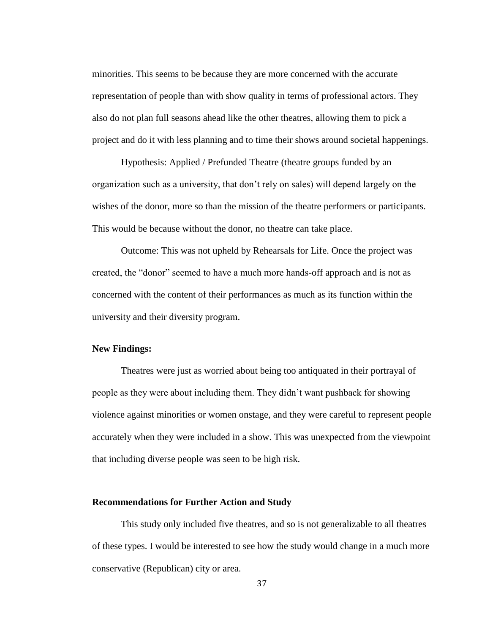minorities. This seems to be because they are more concerned with the accurate representation of people than with show quality in terms of professional actors. They also do not plan full seasons ahead like the other theatres, allowing them to pick a project and do it with less planning and to time their shows around societal happenings.

Hypothesis: Applied / Prefunded Theatre (theatre groups funded by an organization such as a university, that don't rely on sales) will depend largely on the wishes of the donor, more so than the mission of the theatre performers or participants. This would be because without the donor, no theatre can take place.

Outcome: This was not upheld by Rehearsals for Life. Once the project was created, the "donor" seemed to have a much more hands-off approach and is not as concerned with the content of their performances as much as its function within the university and their diversity program.

#### **New Findings:**

Theatres were just as worried about being too antiquated in their portrayal of people as they were about including them. They didn't want pushback for showing violence against minorities or women onstage, and they were careful to represent people accurately when they were included in a show. This was unexpected from the viewpoint that including diverse people was seen to be high risk.

#### **Recommendations for Further Action and Study**

This study only included five theatres, and so is not generalizable to all theatres of these types. I would be interested to see how the study would change in a much more conservative (Republican) city or area.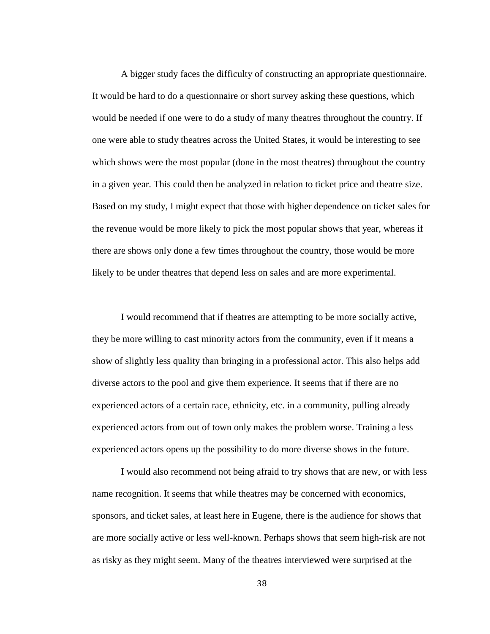A bigger study faces the difficulty of constructing an appropriate questionnaire. It would be hard to do a questionnaire or short survey asking these questions, which would be needed if one were to do a study of many theatres throughout the country. If one were able to study theatres across the United States, it would be interesting to see which shows were the most popular (done in the most theatres) throughout the country in a given year. This could then be analyzed in relation to ticket price and theatre size. Based on my study, I might expect that those with higher dependence on ticket sales for the revenue would be more likely to pick the most popular shows that year, whereas if there are shows only done a few times throughout the country, those would be more likely to be under theatres that depend less on sales and are more experimental.

I would recommend that if theatres are attempting to be more socially active, they be more willing to cast minority actors from the community, even if it means a show of slightly less quality than bringing in a professional actor. This also helps add diverse actors to the pool and give them experience. It seems that if there are no experienced actors of a certain race, ethnicity, etc. in a community, pulling already experienced actors from out of town only makes the problem worse. Training a less experienced actors opens up the possibility to do more diverse shows in the future.

I would also recommend not being afraid to try shows that are new, or with less name recognition. It seems that while theatres may be concerned with economics, sponsors, and ticket sales, at least here in Eugene, there is the audience for shows that are more socially active or less well-known. Perhaps shows that seem high-risk are not as risky as they might seem. Many of the theatres interviewed were surprised at the

38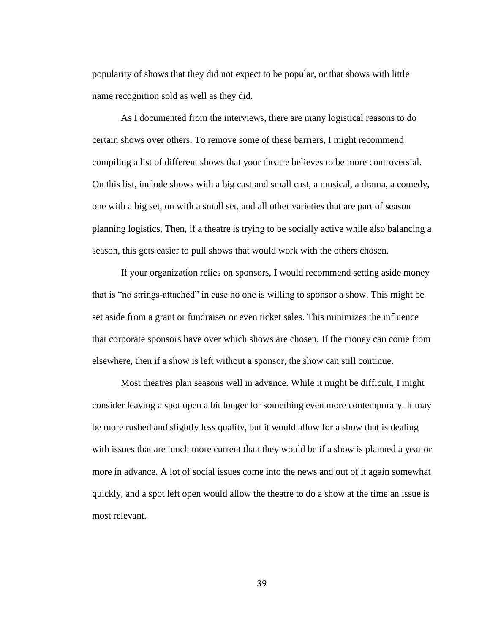popularity of shows that they did not expect to be popular, or that shows with little name recognition sold as well as they did.

As I documented from the interviews, there are many logistical reasons to do certain shows over others. To remove some of these barriers, I might recommend compiling a list of different shows that your theatre believes to be more controversial. On this list, include shows with a big cast and small cast, a musical, a drama, a comedy, one with a big set, on with a small set, and all other varieties that are part of season planning logistics. Then, if a theatre is trying to be socially active while also balancing a season, this gets easier to pull shows that would work with the others chosen.

If your organization relies on sponsors, I would recommend setting aside money that is "no strings-attached" in case no one is willing to sponsor a show. This might be set aside from a grant or fundraiser or even ticket sales. This minimizes the influence that corporate sponsors have over which shows are chosen. If the money can come from elsewhere, then if a show is left without a sponsor, the show can still continue.

Most theatres plan seasons well in advance. While it might be difficult, I might consider leaving a spot open a bit longer for something even more contemporary. It may be more rushed and slightly less quality, but it would allow for a show that is dealing with issues that are much more current than they would be if a show is planned a year or more in advance. A lot of social issues come into the news and out of it again somewhat quickly, and a spot left open would allow the theatre to do a show at the time an issue is most relevant.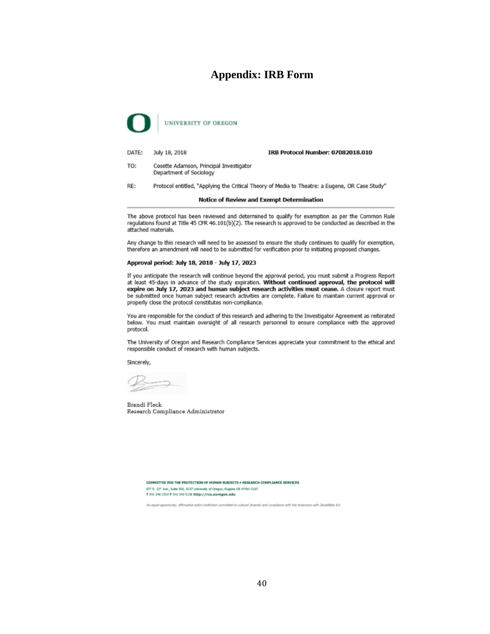# **Appendix: IRB Form**



DATE: July 18, 2018 IRB Protocol Number: 07082018.010

Cosette Adamson, Principal Investigator TO-Department of Sociology

RE: Protocol entitled, "Applying the Critical Theory of Media to Theatre: a Eugene, OR Case Study"

#### Notice of Review and Exempt Determination

The above protocol has been reviewed and determined to qualify for exemption as per the Common Rule regulations found at Title 45 CFR 46.101(b)(2). The research is approved to be conducted as described in the attached materials.

Any change to this research will need to be assessed to ensure the study continues to qualify for exemption, therefore an amendment will need to be submitted for verification prior to initiating proposed changes.

#### Approval period: July 18, 2018 - July 17, 2023

If you anticipate the research will continue beyond the approval period, you must submit a Progress Report<br>at least 45-days in advance of the study expiration. Without continued approval, the protocol will expire on July 17, 2023 and human subject research activities must cease. A closure report must be submitted once human subject research activities are complete. Failure to maintain current approval or properly close the protocol constitutes non-compliance.

You are responsible for the conduct of this research and adhering to the Investigator Agreement as reiterated below. You must maintain oversight of all research personnel to ensure compliance with the approved protocol.

The University of Oregon and Research Compliance Services appreciate your commitment to the ethical and responsible conduct of research with human subjects.

Sincerely.

Brandi Fleck Research Compliance Administrator

COMMITTEE FOR THE PROTECTION OF HUMAN SUBJECTS . RESEARCH COMPLIANCE SERVICES 677 E. 12" Ave., Suite 500, 5237 University of Oregon, Eugene OR 97401-5237 T 541-346-2510 F 541-346-5138 http://rcs.uoregon.edu

postunity, affirmative-action institution conv. vitted to cultural diversity and compliance with the Americans with Disabilities Act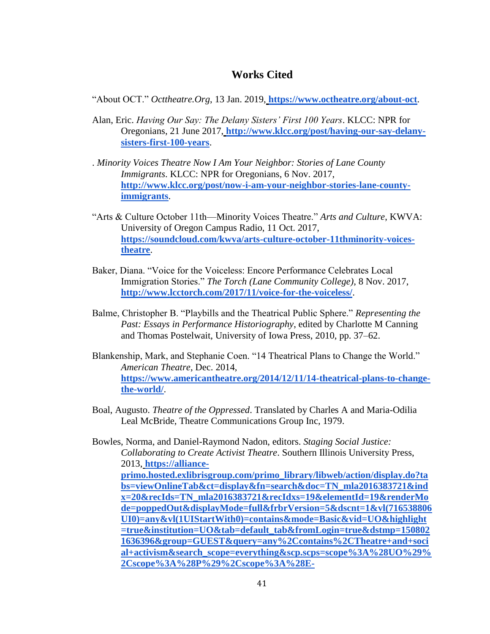# **Works Cited**

"About OCT." *Octtheatre.Org*, 13 Jan. 2019, **<https://www.octheatre.org/about-oct>**.

- Alan, Eric. *Having Our Say: The Delany Sisters' First 100 Years*. KLCC: NPR for Oregonians, 21 June 2017, **[http://www.klcc.org/post/having-our-say-delany](http://www.klcc.org/post/having-our-say-delany-sisters-first-100-years)[sisters-first-100-years](http://www.klcc.org/post/having-our-say-delany-sisters-first-100-years)**.
- . *Minority Voices Theatre Now I Am Your Neighbor: Stories of Lane County Immigrants*. KLCC: NPR for Oregonians, 6 Nov. 2017[,](http://www.klcc.org/post/now-i-am-your-neighbor-stories-lane-county-immigrants) **[http://www.klcc.org/post/now-i-am-your-neighbor-stories-lane-county](http://www.klcc.org/post/now-i-am-your-neighbor-stories-lane-county-immigrants)[immigrants](http://www.klcc.org/post/now-i-am-your-neighbor-stories-lane-county-immigrants)**.
- "Arts & Culture October 11th—Minority Voices Theatre." *Arts and Culture*, KWVA: University of Oregon Campus Radio, 11 Oct. 2017[,](https://soundcloud.com/kwva/arts-culture-october-11thminority-voices-theatre) **[https://soundcloud.com/kwva/arts-culture-october-11thminority-voices](https://soundcloud.com/kwva/arts-culture-october-11thminority-voices-theatre)[theatre](https://soundcloud.com/kwva/arts-culture-october-11thminority-voices-theatre)**.
- Baker, Diana. "Voice for the Voiceless: Encore Performance Celebrates Local Immigration Stories." *The Torch (Lane Community College)*, 8 Nov. 2017[,](http://www.lcctorch.com/2017/11/voice-for-the-voiceless/) **<http://www.lcctorch.com/2017/11/voice-for-the-voiceless/>**.
- Balme, Christopher B. "Playbills and the Theatrical Public Sphere." *Representing the Past: Essays in Performance Historiography*, edited by Charlotte M Canning and Thomas Postelwait, University of Iowa Press, 2010, pp. 37–62.
- Blankenship, Mark, and Stephanie Coen. "14 Theatrical Plans to Change the World." *American Theatre*, Dec. 2014[,](https://www.americantheatre.org/2014/12/11/14-theatrical-plans-to-change-the-world/) **[https://www.americantheatre.org/2014/12/11/14-theatrical-plans-to-change](https://www.americantheatre.org/2014/12/11/14-theatrical-plans-to-change-the-world/)[the-world/](https://www.americantheatre.org/2014/12/11/14-theatrical-plans-to-change-the-world/)**.
- Boal, Augusto. *Theatre of the Oppressed*. Translated by Charles A and Maria-Odilia Leal McBride, Theatre Communications Group Inc, 1979.

Bowles, Norma, and Daniel-Raymond Nadon, editors. *Staging Social Justice: Collaborating to Create Activist Theatre*. Southern Illinois University Press, 2013, **[https://alliance](https://alliance-primo.hosted.exlibrisgroup.com/primo_library/libweb/action/display.do?tabs=viewOnlineTab&ct=display&fn=search&doc=TN_mla2016383721&indx=20&recIds=TN_mla2016383721&recIdxs=19&elementId=19&renderMode=poppedOut&displayMode=full&frbrVersion=5&dscnt=1&vl(716538806UI0)=any&vl(1UIStartWith0)=contains&mode=Basic&vid=UO&highlight=true&institution=UO&tab=default_tab&fromLogin=true&dstmp=1508021636396&group=GUEST&query=any%2Ccontains%2CTheatre+and+social+activism&search_scope=everything&scp.scps=scope%3A%28UO%29%2Cscope%3A%28P%29%2Cscope%3A%28E-UO%29%2Cscope%3A%28uo_scholars_bank%29%2Cprimo_central_multiple_fe&onCampus=true&bulkSize=20&queryTemp=Theatre+and+social+activism&displayField=all&institute=&vl(freeText0)=Theatre%20and%20social%20activism)[primo.hosted.exlibrisgroup.com/primo\\_library/libweb/action/display.do?ta](https://alliance-primo.hosted.exlibrisgroup.com/primo_library/libweb/action/display.do?tabs=viewOnlineTab&ct=display&fn=search&doc=TN_mla2016383721&indx=20&recIds=TN_mla2016383721&recIdxs=19&elementId=19&renderMode=poppedOut&displayMode=full&frbrVersion=5&dscnt=1&vl(716538806UI0)=any&vl(1UIStartWith0)=contains&mode=Basic&vid=UO&highlight=true&institution=UO&tab=default_tab&fromLogin=true&dstmp=1508021636396&group=GUEST&query=any%2Ccontains%2CTheatre+and+social+activism&search_scope=everything&scp.scps=scope%3A%28UO%29%2Cscope%3A%28P%29%2Cscope%3A%28E-UO%29%2Cscope%3A%28uo_scholars_bank%29%2Cprimo_central_multiple_fe&onCampus=true&bulkSize=20&queryTemp=Theatre+and+social+activism&displayField=all&institute=&vl(freeText0)=Theatre%20and%20social%20activism) [bs=viewOnlineTab&ct=display&fn=search&doc=TN\\_mla2016383721&ind](https://alliance-primo.hosted.exlibrisgroup.com/primo_library/libweb/action/display.do?tabs=viewOnlineTab&ct=display&fn=search&doc=TN_mla2016383721&indx=20&recIds=TN_mla2016383721&recIdxs=19&elementId=19&renderMode=poppedOut&displayMode=full&frbrVersion=5&dscnt=1&vl(716538806UI0)=any&vl(1UIStartWith0)=contains&mode=Basic&vid=UO&highlight=true&institution=UO&tab=default_tab&fromLogin=true&dstmp=1508021636396&group=GUEST&query=any%2Ccontains%2CTheatre+and+social+activism&search_scope=everything&scp.scps=scope%3A%28UO%29%2Cscope%3A%28P%29%2Cscope%3A%28E-UO%29%2Cscope%3A%28uo_scholars_bank%29%2Cprimo_central_multiple_fe&onCampus=true&bulkSize=20&queryTemp=Theatre+and+social+activism&displayField=all&institute=&vl(freeText0)=Theatre%20and%20social%20activism) [x=20&recIds=TN\\_mla2016383721&recIdxs=19&elementId=19&renderMo](https://alliance-primo.hosted.exlibrisgroup.com/primo_library/libweb/action/display.do?tabs=viewOnlineTab&ct=display&fn=search&doc=TN_mla2016383721&indx=20&recIds=TN_mla2016383721&recIdxs=19&elementId=19&renderMode=poppedOut&displayMode=full&frbrVersion=5&dscnt=1&vl(716538806UI0)=any&vl(1UIStartWith0)=contains&mode=Basic&vid=UO&highlight=true&institution=UO&tab=default_tab&fromLogin=true&dstmp=1508021636396&group=GUEST&query=any%2Ccontains%2CTheatre+and+social+activism&search_scope=everything&scp.scps=scope%3A%28UO%29%2Cscope%3A%28P%29%2Cscope%3A%28E-UO%29%2Cscope%3A%28uo_scholars_bank%29%2Cprimo_central_multiple_fe&onCampus=true&bulkSize=20&queryTemp=Theatre+and+social+activism&displayField=all&institute=&vl(freeText0)=Theatre%20and%20social%20activism) [de=poppedOut&displayMode=full&frbrVersion=5&dscnt=1&vl\(716538806](https://alliance-primo.hosted.exlibrisgroup.com/primo_library/libweb/action/display.do?tabs=viewOnlineTab&ct=display&fn=search&doc=TN_mla2016383721&indx=20&recIds=TN_mla2016383721&recIdxs=19&elementId=19&renderMode=poppedOut&displayMode=full&frbrVersion=5&dscnt=1&vl(716538806UI0)=any&vl(1UIStartWith0)=contains&mode=Basic&vid=UO&highlight=true&institution=UO&tab=default_tab&fromLogin=true&dstmp=1508021636396&group=GUEST&query=any%2Ccontains%2CTheatre+and+social+activism&search_scope=everything&scp.scps=scope%3A%28UO%29%2Cscope%3A%28P%29%2Cscope%3A%28E-UO%29%2Cscope%3A%28uo_scholars_bank%29%2Cprimo_central_multiple_fe&onCampus=true&bulkSize=20&queryTemp=Theatre+and+social+activism&displayField=all&institute=&vl(freeText0)=Theatre%20and%20social%20activism) [UI0\)=any&vl\(1UIStartWith0\)=contains&mode=Basic&vid=UO&highlight](https://alliance-primo.hosted.exlibrisgroup.com/primo_library/libweb/action/display.do?tabs=viewOnlineTab&ct=display&fn=search&doc=TN_mla2016383721&indx=20&recIds=TN_mla2016383721&recIdxs=19&elementId=19&renderMode=poppedOut&displayMode=full&frbrVersion=5&dscnt=1&vl(716538806UI0)=any&vl(1UIStartWith0)=contains&mode=Basic&vid=UO&highlight=true&institution=UO&tab=default_tab&fromLogin=true&dstmp=1508021636396&group=GUEST&query=any%2Ccontains%2CTheatre+and+social+activism&search_scope=everything&scp.scps=scope%3A%28UO%29%2Cscope%3A%28P%29%2Cscope%3A%28E-UO%29%2Cscope%3A%28uo_scholars_bank%29%2Cprimo_central_multiple_fe&onCampus=true&bulkSize=20&queryTemp=Theatre+and+social+activism&displayField=all&institute=&vl(freeText0)=Theatre%20and%20social%20activism) [=true&institution=UO&tab=default\\_tab&fromLogin=true&dstmp=150802](https://alliance-primo.hosted.exlibrisgroup.com/primo_library/libweb/action/display.do?tabs=viewOnlineTab&ct=display&fn=search&doc=TN_mla2016383721&indx=20&recIds=TN_mla2016383721&recIdxs=19&elementId=19&renderMode=poppedOut&displayMode=full&frbrVersion=5&dscnt=1&vl(716538806UI0)=any&vl(1UIStartWith0)=contains&mode=Basic&vid=UO&highlight=true&institution=UO&tab=default_tab&fromLogin=true&dstmp=1508021636396&group=GUEST&query=any%2Ccontains%2CTheatre+and+social+activism&search_scope=everything&scp.scps=scope%3A%28UO%29%2Cscope%3A%28P%29%2Cscope%3A%28E-UO%29%2Cscope%3A%28uo_scholars_bank%29%2Cprimo_central_multiple_fe&onCampus=true&bulkSize=20&queryTemp=Theatre+and+social+activism&displayField=all&institute=&vl(freeText0)=Theatre%20and%20social%20activism) [1636396&group=GUEST&query=any%2Ccontains%2CTheatre+and+soci](https://alliance-primo.hosted.exlibrisgroup.com/primo_library/libweb/action/display.do?tabs=viewOnlineTab&ct=display&fn=search&doc=TN_mla2016383721&indx=20&recIds=TN_mla2016383721&recIdxs=19&elementId=19&renderMode=poppedOut&displayMode=full&frbrVersion=5&dscnt=1&vl(716538806UI0)=any&vl(1UIStartWith0)=contains&mode=Basic&vid=UO&highlight=true&institution=UO&tab=default_tab&fromLogin=true&dstmp=1508021636396&group=GUEST&query=any%2Ccontains%2CTheatre+and+social+activism&search_scope=everything&scp.scps=scope%3A%28UO%29%2Cscope%3A%28P%29%2Cscope%3A%28E-UO%29%2Cscope%3A%28uo_scholars_bank%29%2Cprimo_central_multiple_fe&onCampus=true&bulkSize=20&queryTemp=Theatre+and+social+activism&displayField=all&institute=&vl(freeText0)=Theatre%20and%20social%20activism) [al+activism&search\\_scope=everything&scp.scps=scope%3A%28UO%29%](https://alliance-primo.hosted.exlibrisgroup.com/primo_library/libweb/action/display.do?tabs=viewOnlineTab&ct=display&fn=search&doc=TN_mla2016383721&indx=20&recIds=TN_mla2016383721&recIdxs=19&elementId=19&renderMode=poppedOut&displayMode=full&frbrVersion=5&dscnt=1&vl(716538806UI0)=any&vl(1UIStartWith0)=contains&mode=Basic&vid=UO&highlight=true&institution=UO&tab=default_tab&fromLogin=true&dstmp=1508021636396&group=GUEST&query=any%2Ccontains%2CTheatre+and+social+activism&search_scope=everything&scp.scps=scope%3A%28UO%29%2Cscope%3A%28P%29%2Cscope%3A%28E-UO%29%2Cscope%3A%28uo_scholars_bank%29%2Cprimo_central_multiple_fe&onCampus=true&bulkSize=20&queryTemp=Theatre+and+social+activism&displayField=all&institute=&vl(freeText0)=Theatre%20and%20social%20activism) [2Cscope%3A%28P%29%2Cscope%3A%28E-](https://alliance-primo.hosted.exlibrisgroup.com/primo_library/libweb/action/display.do?tabs=viewOnlineTab&ct=display&fn=search&doc=TN_mla2016383721&indx=20&recIds=TN_mla2016383721&recIdxs=19&elementId=19&renderMode=poppedOut&displayMode=full&frbrVersion=5&dscnt=1&vl(716538806UI0)=any&vl(1UIStartWith0)=contains&mode=Basic&vid=UO&highlight=true&institution=UO&tab=default_tab&fromLogin=true&dstmp=1508021636396&group=GUEST&query=any%2Ccontains%2CTheatre+and+social+activism&search_scope=everything&scp.scps=scope%3A%28UO%29%2Cscope%3A%28P%29%2Cscope%3A%28E-UO%29%2Cscope%3A%28uo_scholars_bank%29%2Cprimo_central_multiple_fe&onCampus=true&bulkSize=20&queryTemp=Theatre+and+social+activism&displayField=all&institute=&vl(freeText0)=Theatre%20and%20social%20activism)**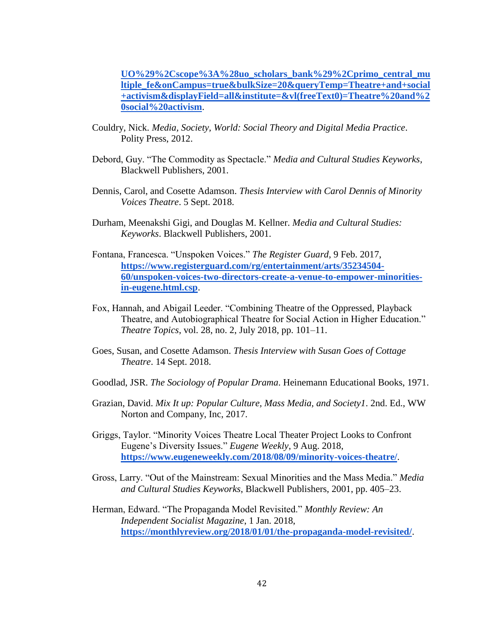**[UO%29%2Cscope%3A%28uo\\_scholars\\_bank%29%2Cprimo\\_central\\_mu](https://alliance-primo.hosted.exlibrisgroup.com/primo_library/libweb/action/display.do?tabs=viewOnlineTab&ct=display&fn=search&doc=TN_mla2016383721&indx=20&recIds=TN_mla2016383721&recIdxs=19&elementId=19&renderMode=poppedOut&displayMode=full&frbrVersion=5&dscnt=1&vl(716538806UI0)=any&vl(1UIStartWith0)=contains&mode=Basic&vid=UO&highlight=true&institution=UO&tab=default_tab&fromLogin=true&dstmp=1508021636396&group=GUEST&query=any%2Ccontains%2CTheatre+and+social+activism&search_scope=everything&scp.scps=scope%3A%28UO%29%2Cscope%3A%28P%29%2Cscope%3A%28E-UO%29%2Cscope%3A%28uo_scholars_bank%29%2Cprimo_central_multiple_fe&onCampus=true&bulkSize=20&queryTemp=Theatre+and+social+activism&displayField=all&institute=&vl(freeText0)=Theatre%20and%20social%20activism) [ltiple\\_fe&onCampus=true&bulkSize=20&queryTemp=Theatre+and+social](https://alliance-primo.hosted.exlibrisgroup.com/primo_library/libweb/action/display.do?tabs=viewOnlineTab&ct=display&fn=search&doc=TN_mla2016383721&indx=20&recIds=TN_mla2016383721&recIdxs=19&elementId=19&renderMode=poppedOut&displayMode=full&frbrVersion=5&dscnt=1&vl(716538806UI0)=any&vl(1UIStartWith0)=contains&mode=Basic&vid=UO&highlight=true&institution=UO&tab=default_tab&fromLogin=true&dstmp=1508021636396&group=GUEST&query=any%2Ccontains%2CTheatre+and+social+activism&search_scope=everything&scp.scps=scope%3A%28UO%29%2Cscope%3A%28P%29%2Cscope%3A%28E-UO%29%2Cscope%3A%28uo_scholars_bank%29%2Cprimo_central_multiple_fe&onCampus=true&bulkSize=20&queryTemp=Theatre+and+social+activism&displayField=all&institute=&vl(freeText0)=Theatre%20and%20social%20activism) [+activism&displayField=all&institute=&vl\(freeText0\)=Theatre%20and%2](https://alliance-primo.hosted.exlibrisgroup.com/primo_library/libweb/action/display.do?tabs=viewOnlineTab&ct=display&fn=search&doc=TN_mla2016383721&indx=20&recIds=TN_mla2016383721&recIdxs=19&elementId=19&renderMode=poppedOut&displayMode=full&frbrVersion=5&dscnt=1&vl(716538806UI0)=any&vl(1UIStartWith0)=contains&mode=Basic&vid=UO&highlight=true&institution=UO&tab=default_tab&fromLogin=true&dstmp=1508021636396&group=GUEST&query=any%2Ccontains%2CTheatre+and+social+activism&search_scope=everything&scp.scps=scope%3A%28UO%29%2Cscope%3A%28P%29%2Cscope%3A%28E-UO%29%2Cscope%3A%28uo_scholars_bank%29%2Cprimo_central_multiple_fe&onCampus=true&bulkSize=20&queryTemp=Theatre+and+social+activism&displayField=all&institute=&vl(freeText0)=Theatre%20and%20social%20activism) [0social%20activism](https://alliance-primo.hosted.exlibrisgroup.com/primo_library/libweb/action/display.do?tabs=viewOnlineTab&ct=display&fn=search&doc=TN_mla2016383721&indx=20&recIds=TN_mla2016383721&recIdxs=19&elementId=19&renderMode=poppedOut&displayMode=full&frbrVersion=5&dscnt=1&vl(716538806UI0)=any&vl(1UIStartWith0)=contains&mode=Basic&vid=UO&highlight=true&institution=UO&tab=default_tab&fromLogin=true&dstmp=1508021636396&group=GUEST&query=any%2Ccontains%2CTheatre+and+social+activism&search_scope=everything&scp.scps=scope%3A%28UO%29%2Cscope%3A%28P%29%2Cscope%3A%28E-UO%29%2Cscope%3A%28uo_scholars_bank%29%2Cprimo_central_multiple_fe&onCampus=true&bulkSize=20&queryTemp=Theatre+and+social+activism&displayField=all&institute=&vl(freeText0)=Theatre%20and%20social%20activism)**.

- Couldry, Nick. *Media, Society, World: Social Theory and Digital Media Practice*. Polity Press, 2012.
- Debord, Guy. "The Commodity as Spectacle." *Media and Cultural Studies Keyworks*, Blackwell Publishers, 2001.
- Dennis, Carol, and Cosette Adamson. *Thesis Interview with Carol Dennis of Minority Voices Theatre*. 5 Sept. 2018.
- Durham, Meenakshi Gigi, and Douglas M. Kellner. *Media and Cultural Studies: Keyworks*. Blackwell Publishers, 2001.
- Fontana, Francesca. "Unspoken Voices." *The Register Guard*, 9 Feb. 2017[,](https://www.registerguard.com/rg/entertainment/arts/35234504-60/unspoken-voices-two-directors-create-a-venue-to-empower-minorities-in-eugene.html.csp) **[https://www.registerguard.com/rg/entertainment/arts/35234504-](https://www.registerguard.com/rg/entertainment/arts/35234504-60/unspoken-voices-two-directors-create-a-venue-to-empower-minorities-in-eugene.html.csp) [60/unspoken-voices-two-directors-create-a-venue-to-empower-minorities](https://www.registerguard.com/rg/entertainment/arts/35234504-60/unspoken-voices-two-directors-create-a-venue-to-empower-minorities-in-eugene.html.csp)[in-eugene.html.csp](https://www.registerguard.com/rg/entertainment/arts/35234504-60/unspoken-voices-two-directors-create-a-venue-to-empower-minorities-in-eugene.html.csp)**.
- Fox, Hannah, and Abigail Leeder. "Combining Theatre of the Oppressed, Playback Theatre, and Autobiographical Theatre for Social Action in Higher Education." *Theatre Topics*, vol. 28, no. 2, July 2018, pp. 101–11.
- Goes, Susan, and Cosette Adamson. *Thesis Interview with Susan Goes of Cottage Theatre*. 14 Sept. 2018.
- Goodlad, JSR. *The Sociology of Popular Drama*. Heinemann Educational Books, 1971.
- Grazian, David. *Mix It up: Popular Culture, Mass Media, and Society1*. 2nd. Ed., WW Norton and Company, Inc, 2017.
- Griggs, Taylor. "Minority Voices Theatre Local Theater Project Looks to Confront Eugene's Diversity Issues." *Eugene Weekly*, 9 Aug. 2018[,](https://www.eugeneweekly.com/2018/08/09/minority-voices-theatre/) **<https://www.eugeneweekly.com/2018/08/09/minority-voices-theatre/>**.
- Gross, Larry. "Out of the Mainstream: Sexual Minorities and the Mass Media." *Media and Cultural Studies Keyworks*, Blackwell Publishers, 2001, pp. 405–23.
- Herman, Edward. "The Propaganda Model Revisited." *Monthly Review: An Independent Socialist Magazine*, 1 Jan. 2018[,](https://monthlyreview.org/2018/01/01/the-propaganda-model-revisited/) **<https://monthlyreview.org/2018/01/01/the-propaganda-model-revisited/>**.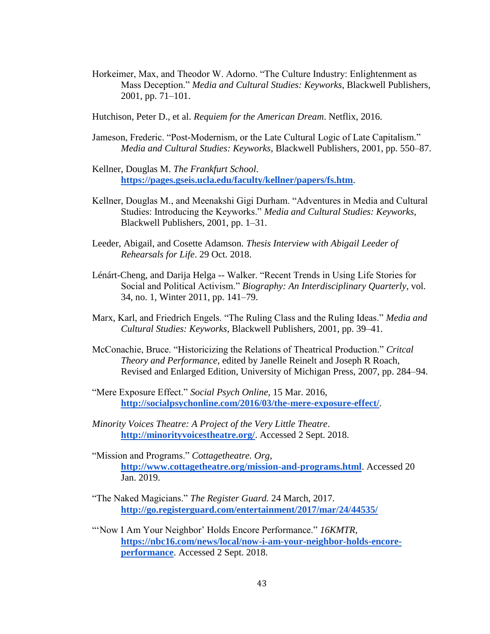- Horkeimer, Max, and Theodor W. Adorno. "The Culture Industry: Enlightenment as Mass Deception." *Media and Cultural Studies: Keyworks*, Blackwell Publishers, 2001, pp. 71–101.
- Hutchison, Peter D., et al. *Requiem for the American Dream*. Netflix, 2016.
- Jameson, Frederic. "Post-Modernism, or the Late Cultural Logic of Late Capitalism." *Media and Cultural Studies: Keyworks*, Blackwell Publishers, 2001, pp. 550–87.
- Kellner, Douglas M. *The Frankfurt School*[.](https://pages.gseis.ucla.edu/faculty/kellner/papers/fs.htm) **<https://pages.gseis.ucla.edu/faculty/kellner/papers/fs.htm>**.
- Kellner, Douglas M., and Meenakshi Gigi Durham. "Adventures in Media and Cultural Studies: Introducing the Keyworks." *Media and Cultural Studies: Keyworks*, Blackwell Publishers, 2001, pp. 1–31.
- Leeder, Abigail, and Cosette Adamson. *Thesis Interview with Abigail Leeder of Rehearsals for Life*. 29 Oct. 2018.
- Lénárt-Cheng, and Darija Helga -- Walker. "Recent Trends in Using Life Stories for Social and Political Activism." *Biography: An Interdisciplinary Quarterly*, vol. 34, no. 1, Winter 2011, pp. 141–79.
- Marx, Karl, and Friedrich Engels. "The Ruling Class and the Ruling Ideas." *Media and Cultural Studies: Keyworks*, Blackwell Publishers, 2001, pp. 39–41.
- McConachie, Bruce. "Historicizing the Relations of Theatrical Production." *Critcal Theory and Performance*, edited by Janelle Reinelt and Joseph R Roach, Revised and Enlarged Edition, University of Michigan Press, 2007, pp. 284–94.
- "Mere Exposure Effect." *Social Psych Online*, 15 Mar. 2016[,](http://socialpsychonline.com/2016/03/the-mere-exposure-effect/) **<http://socialpsychonline.com/2016/03/the-mere-exposure-effect/>**.
- *Minority Voices Theatre: A Project of the Very Little Theatre*[.](http://minorityvoicestheatre.org/) **<http://minorityvoicestheatre.org/>**. Accessed 2 Sept. 2018.
- "Mission and Programs." *Cottagetheatre. Org*[,](http://www.cottagetheatre.org/mission-and-programs.html) **<http://www.cottagetheatre.org/mission-and-programs.html>**. Accessed 20 Jan. 2019.
- "The Naked Magicians." *The Register Guard.* 24 March, 2017. **<http://go.registerguard.com/entertainment/2017/mar/24/44535/>**
- "'Now I Am Your Neighbor' Holds Encore Performance." *16KMTR*[,](https://nbc16.com/news/local/now-i-am-your-neighbor-holds-encore-performance) **[https://nbc16.com/news/local/now-i-am-your-neighbor-holds-encore](https://nbc16.com/news/local/now-i-am-your-neighbor-holds-encore-performance)[performance](https://nbc16.com/news/local/now-i-am-your-neighbor-holds-encore-performance)**. Accessed 2 Sept. 2018.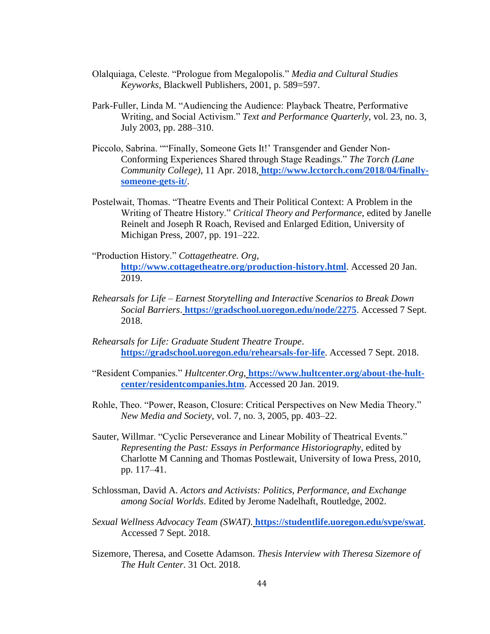- Olalquiaga, Celeste. "Prologue from Megalopolis." *Media and Cultural Studies Keyworks*, Blackwell Publishers, 2001, p. 589=597.
- Park-Fuller, Linda M. "Audiencing the Audience: Playback Theatre, Performative Writing, and Social Activism." *Text and Performance Quarterly*, vol. 23, no. 3, July 2003, pp. 288–310.
- Piccolo, Sabrina. ""Finally, Someone Gets It!' Transgender and Gender Non-Conforming Experiences Shared through Stage Readings." *The Torch (Lane Community College)*, 11 Apr. 2018, **[http://www.lcctorch.com/2018/04/finally](http://www.lcctorch.com/2018/04/finally-someone-gets-it/)[someone-gets-it/](http://www.lcctorch.com/2018/04/finally-someone-gets-it/)**.
- Postelwait, Thomas. "Theatre Events and Their Political Context: A Problem in the Writing of Theatre History." *Critical Theory and Performance*, edited by Janelle Reinelt and Joseph R Roach, Revised and Enlarged Edition, University of Michigan Press, 2007, pp. 191–222.
- "Production History." *Cottagetheatre. Org*[,](http://www.cottagetheatre.org/production-history.html) **<http://www.cottagetheatre.org/production-history.html>**. Accessed 20 Jan. 2019.
- *Rehearsals for Life – Earnest Storytelling and Interactive Scenarios to Break Down Social Barriers*. **<https://gradschool.uoregon.edu/node/2275>**. Accessed 7 Sept. 2018.
- *Rehearsals for Life: Graduate Student Theatre Troupe*[.](https://gradschool.uoregon.edu/rehearsals-for-life) **<https://gradschool.uoregon.edu/rehearsals-for-life>**. Accessed 7 Sept. 2018.
- "Resident Companies." *Hultcenter.Org*, **[https://www.hultcenter.org/about-the-hult](https://www.hultcenter.org/about-the-hult-center/residentcompanies.htm)[center/residentcompanies.htm](https://www.hultcenter.org/about-the-hult-center/residentcompanies.htm)**. Accessed 20 Jan. 2019.
- Rohle, Theo. "Power, Reason, Closure: Critical Perspectives on New Media Theory." *New Media and Society*, vol. 7, no. 3, 2005, pp. 403–22.
- Sauter, Willmar. "Cyclic Perseverance and Linear Mobility of Theatrical Events." *Representing the Past: Essays in Performance Historiography*, edited by Charlotte M Canning and Thomas Postlewait, University of Iowa Press, 2010, pp. 117–41.
- Schlossman, David A. *Actors and Activists: Politics, Performance, and Exchange among Social Worlds*. Edited by Jerome Nadelhaft, Routledge, 2002.
- *Sexual Wellness Advocacy Team (SWAT)*. **<https://studentlife.uoregon.edu/svpe/swat>**. Accessed 7 Sept. 2018.
- Sizemore, Theresa, and Cosette Adamson. *Thesis Interview with Theresa Sizemore of The Hult Center*. 31 Oct. 2018.